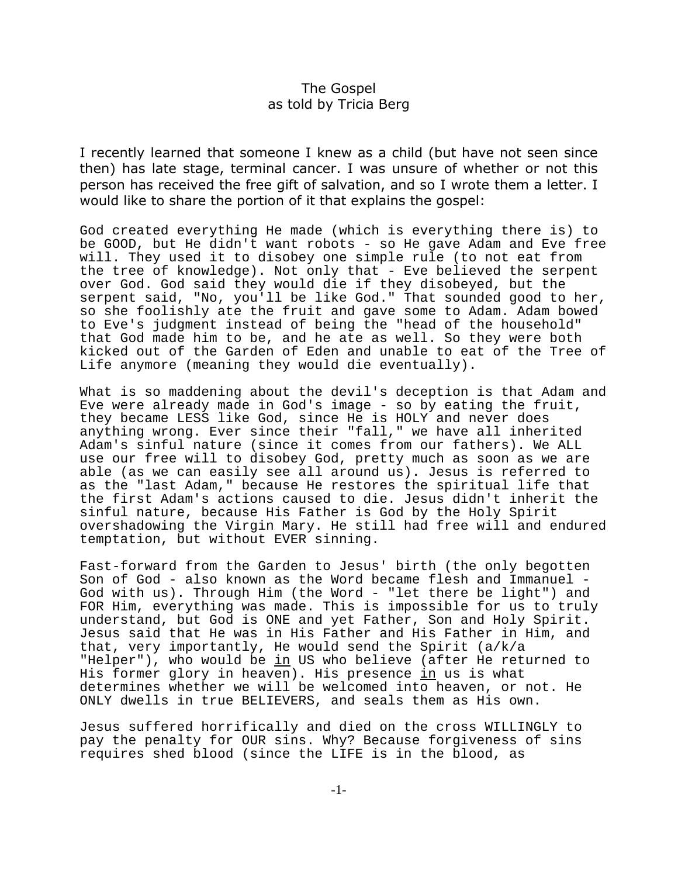## The Gospel as told by Tricia Berg

I recently learned that someone I knew as a child (but have not seen since then) has late stage, terminal cancer. I was unsure of whether or not this person has received the free gift of salvation, and so I wrote them a letter. I would like to share the portion of it that explains the gospel:

God created everything He made (which is everything there is) to be GOOD, but He didn't want robots - so He gave Adam and Eve free will. They used it to disobey one simple rule (to not eat from the tree of knowledge). Not only that - Eve believed the serpent over God. God said they would die if they disobeyed, but the serpent said, "No, you'll be like God." That sounded good to her, so she foolishly ate the fruit and gave some to Adam. Adam bowed to Eve's judgment instead of being the "head of the household" that God made him to be, and he ate as well. So they were both kicked out of the Garden of Eden and unable to eat of the Tree of Life anymore (meaning they would die eventually).

What is so maddening about the devil's deception is that Adam and Eve were already made in God's image - so by eating the fruit, they became LESS like God, since He is HOLY and never does anything wrong. Ever since their "fall," we have all inherited Adam's sinful nature (since it comes from our fathers). We ALL use our free will to disobey God, pretty much as soon as we are able (as we can easily see all around us). Jesus is referred to as the "last Adam," because He restores the spiritual life that the first Adam's actions caused to die. Jesus didn't inherit the sinful nature, because His Father is God by the Holy Spirit overshadowing the Virgin Mary. He still had free will and endured temptation, but without EVER sinning.

Fast-forward from the Garden to Jesus' birth (the only begotten Son of God - also known as the Word became flesh and Immanuel - God with us). Through Him (the Word - "let there be light") and FOR Him, everything was made. This is impossible for us to truly understand, but God is ONE and yet Father, Son and Holy Spirit. Jesus said that He was in His Father and His Father in Him, and that, very importantly, He would send the Spirit (a/k/a "Helper"), who would be in US who believe (after He returned to His former glory in heaven). His presence in us is what determines whether we will be welcomed into heaven, or not. He ONLY dwells in true BELIEVERS, and seals them as His own.

Jesus suffered horrifically and died on the cross WILLINGLY to pay the penalty for OUR sins. Why? Because forgiveness of sins requires shed blood (since the LIFE is in the blood, as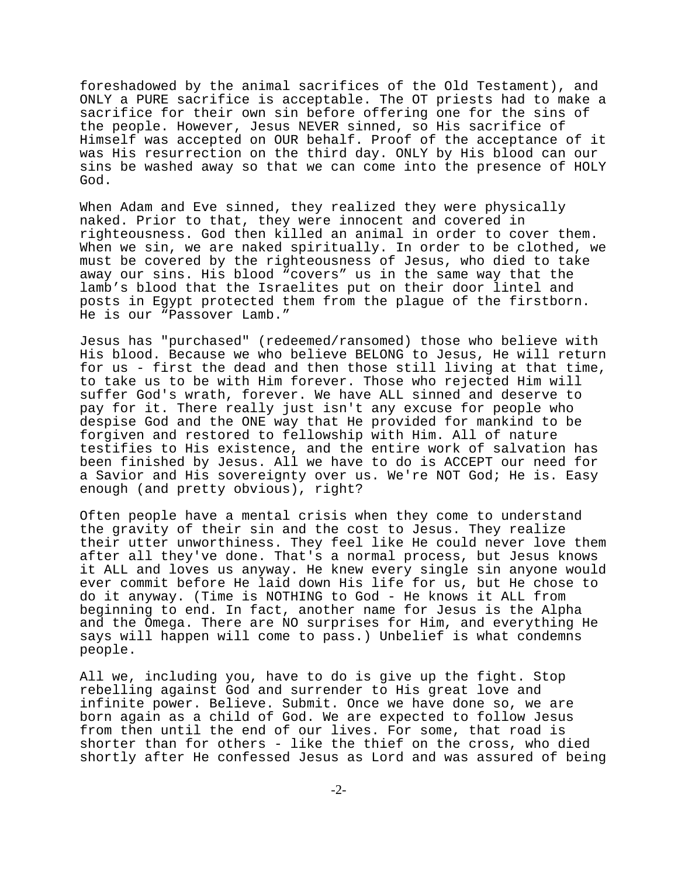foreshadowed by the animal sacrifices of the Old Testament), and ONLY a PURE sacrifice is acceptable. The OT priests had to make a sacrifice for their own sin before offering one for the sins of the people. However, Jesus NEVER sinned, so His sacrifice of Himself was accepted on OUR behalf. Proof of the acceptance of it was His resurrection on the third day. ONLY by His blood can our sins be washed away so that we can come into the presence of HOLY God.

When Adam and Eve sinned, they realized they were physically naked. Prior to that, they were innocent and covered in righteousness. God then killed an animal in order to cover them. When we sin, we are naked spiritually. In order to be clothed, we must be covered by the righteousness of Jesus, who died to take away our sins. His blood "covers" us in the same way that the lamb's blood that the Israelites put on their door lintel and posts in Egypt protected them from the plague of the firstborn. He is our "Passover Lamb."

Jesus has "purchased" (redeemed/ransomed) those who believe with His blood. Because we who believe BELONG to Jesus, He will return for us - first the dead and then those still living at that time, to take us to be with Him forever. Those who rejected Him will suffer God's wrath, forever. We have ALL sinned and deserve to pay for it. There really just isn't any excuse for people who despise God and the ONE way that He provided for mankind to be forgiven and restored to fellowship with Him. All of nature testifies to His existence, and the entire work of salvation has been finished by Jesus. All we have to do is ACCEPT our need for a Savior and His sovereignty over us. We're NOT God; He is. Easy enough (and pretty obvious), right?

Often people have a mental crisis when they come to understand the gravity of their sin and the cost to Jesus. They realize their utter unworthiness. They feel like He could never love them after all they've done. That's a normal process, but Jesus knows it ALL and loves us anyway. He knew every single sin anyone would ever commit before He laid down His life for us, but He chose to do it anyway. (Time is NOTHING to God - He knows it ALL from beginning to end. In fact, another name for Jesus is the Alpha and the Omega. There are NO surprises for Him, and everything He says will happen will come to pass.) Unbelief is what condemns people.

All we, including you, have to do is give up the fight. Stop rebelling against God and surrender to His great love and infinite power. Believe. Submit. Once we have done so, we are born again as a child of God. We are expected to follow Jesus from then until the end of our lives. For some, that road is shorter than for others - like the thief on the cross, who died shortly after He confessed Jesus as Lord and was assured of being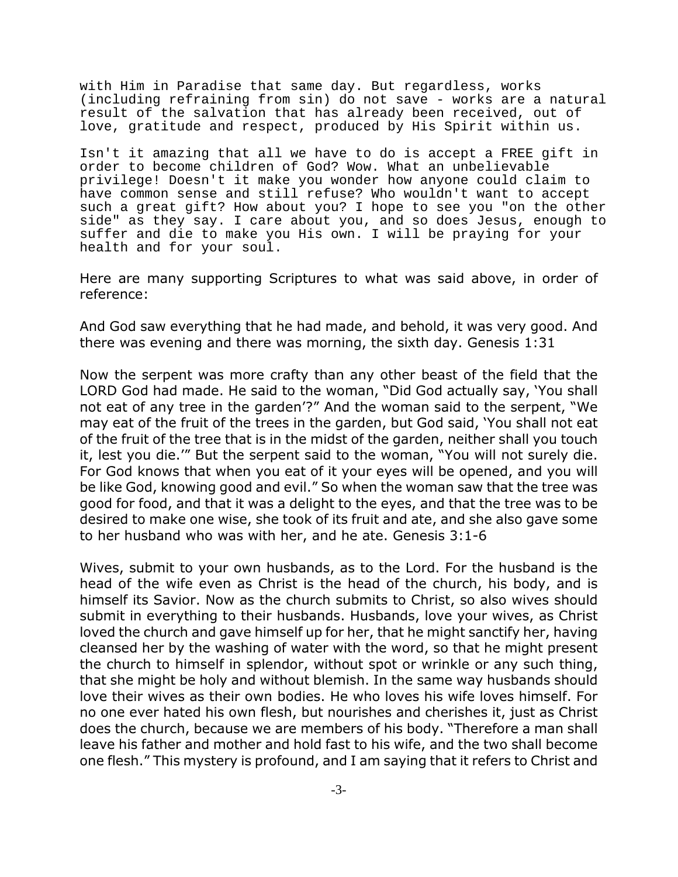with Him in Paradise that same day. But regardless, works (including refraining from sin) do not save - works are a natural result of the salvation that has already been received, out of love, gratitude and respect, produced by His Spirit within us.

Isn't it amazing that all we have to do is accept a FREE gift in order to become children of God? Wow. What an unbelievable privilege! Doesn't it make you wonder how anyone could claim to have common sense and still refuse? Who wouldn't want to accept such a great gift? How about you? I hope to see you "on the other side" as they say. I care about you, and so does Jesus, enough to suffer and die to make you His own. I will be praying for your health and for your soul.

Here are many supporting Scriptures to what was said above, in order of reference:

And God saw everything that he had made, and behold, it was very good. And there was evening and there was morning, the sixth day. Genesis 1:31

Now the serpent was more crafty than any other beast of the field that the LORD God had made. He said to the woman, "Did God actually say, 'You shall not eat of any tree in the garden'?" And the woman said to the serpent, "We may eat of the fruit of the trees in the garden, but God said, 'You shall not eat of the fruit of the tree that is in the midst of the garden, neither shall you touch it, lest you die.'" But the serpent said to the woman, "You will not surely die. For God knows that when you eat of it your eyes will be opened, and you will be like God, knowing good and evil." So when the woman saw that the tree was good for food, and that it was a delight to the eyes, and that the tree was to be desired to make one wise, she took of its fruit and ate, and she also gave some to her husband who was with her, and he ate. Genesis 3:1-6

Wives, submit to your own husbands, as to the Lord. For the husband is the head of the wife even as Christ is the head of the church, his body, and is himself its Savior. Now as the church submits to Christ, so also wives should submit in everything to their husbands. Husbands, love your wives, as Christ loved the church and gave himself up for her, that he might sanctify her, having cleansed her by the washing of water with the word, so that he might present the church to himself in splendor, without spot or wrinkle or any such thing, that she might be holy and without blemish. In the same way husbands should love their wives as their own bodies. He who loves his wife loves himself. For no one ever hated his own flesh, but nourishes and cherishes it, just as Christ does the church, because we are members of his body. "Therefore a man shall leave his father and mother and hold fast to his wife, and the two shall become one flesh." This mystery is profound, and I am saying that it refers to Christ and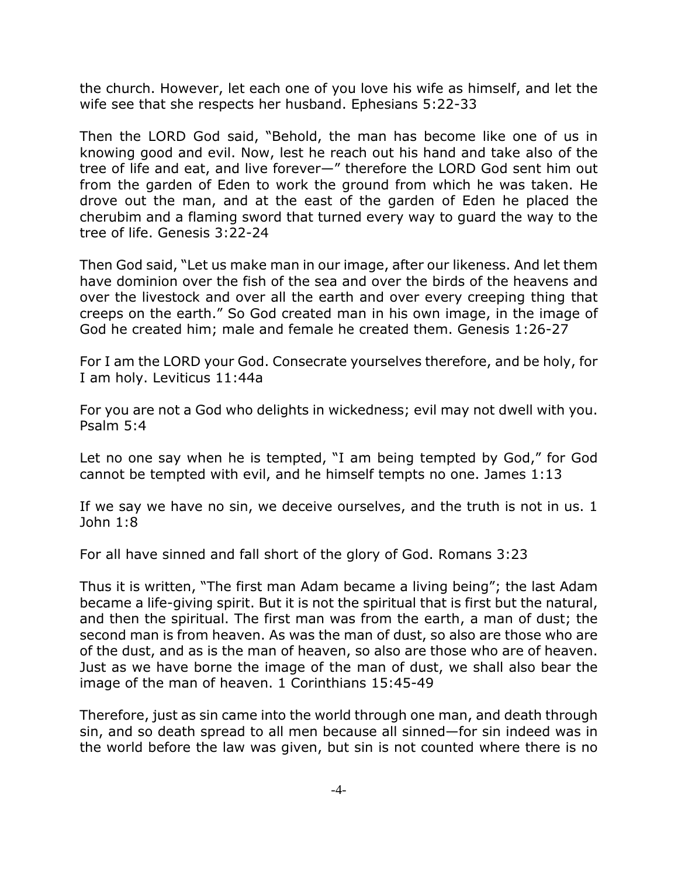the church. However, let each one of you love his wife as himself, and let the wife see that she respects her husband. Ephesians 5:22-33

Then the LORD God said, "Behold, the man has become like one of us in knowing good and evil. Now, lest he reach out his hand and take also of the tree of life and eat, and live forever—" therefore the LORD God sent him out from the garden of Eden to work the ground from which he was taken. He drove out the man, and at the east of the garden of Eden he placed the cherubim and a flaming sword that turned every way to guard the way to the tree of life. Genesis 3:22-24

Then God said, "Let us make man in our image, after our likeness. And let them have dominion over the fish of the sea and over the birds of the heavens and over the livestock and over all the earth and over every creeping thing that creeps on the earth." So God created man in his own image, in the image of God he created him; male and female he created them. Genesis 1:26-27

For I am the LORD your God. Consecrate yourselves therefore, and be holy, for I am holy. Leviticus 11:44a

For you are not a God who delights in wickedness; evil may not dwell with you. Psalm 5:4

Let no one say when he is tempted, "I am being tempted by God," for God cannot be tempted with evil, and he himself tempts no one. James 1:13

If we say we have no sin, we deceive ourselves, and the truth is not in us. 1 John 1:8

For all have sinned and fall short of the glory of God. Romans 3:23

Thus it is written, "The first man Adam became a living being"; the last Adam became a life-giving spirit. But it is not the spiritual that is first but the natural, and then the spiritual. The first man was from the earth, a man of dust; the second man is from heaven. As was the man of dust, so also are those who are of the dust, and as is the man of heaven, so also are those who are of heaven. Just as we have borne the image of the man of dust, we shall also bear the image of the man of heaven. 1 Corinthians 15:45-49

Therefore, just as sin came into the world through one man, and death through sin, and so death spread to all men because all sinned—for sin indeed was in the world before the law was given, but sin is not counted where there is no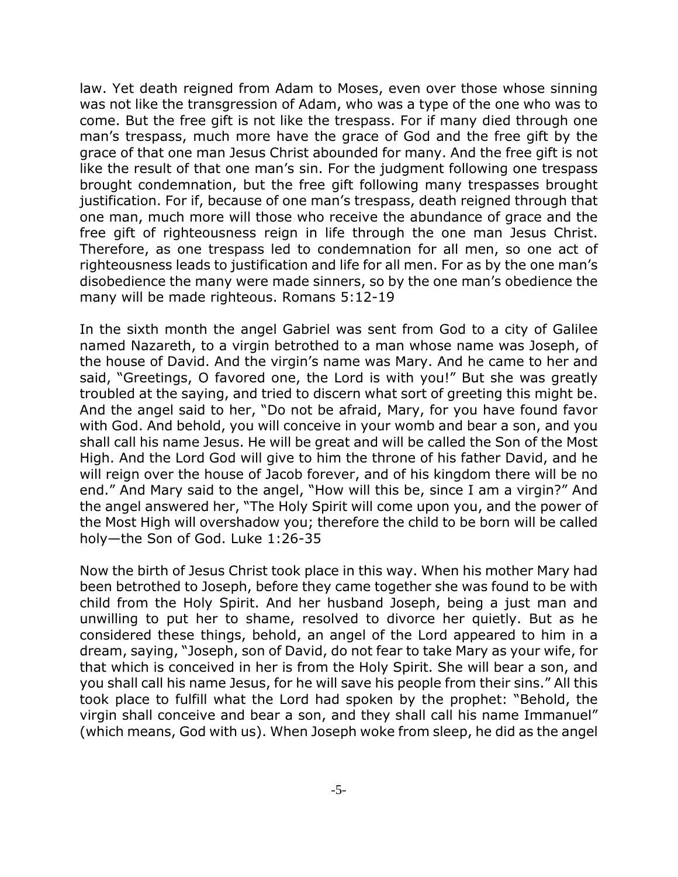law. Yet death reigned from Adam to Moses, even over those whose sinning was not like the transgression of Adam, who was a type of the one who was to come. But the free gift is not like the trespass. For if many died through one man's trespass, much more have the grace of God and the free gift by the grace of that one man Jesus Christ abounded for many. And the free gift is not like the result of that one man's sin. For the judgment following one trespass brought condemnation, but the free gift following many trespasses brought justification. For if, because of one man's trespass, death reigned through that one man, much more will those who receive the abundance of grace and the free gift of righteousness reign in life through the one man Jesus Christ. Therefore, as one trespass led to condemnation for all men, so one act of righteousness leads to justification and life for all men. For as by the one man's disobedience the many were made sinners, so by the one man's obedience the many will be made righteous. Romans 5:12-19

In the sixth month the angel Gabriel was sent from God to a city of Galilee named Nazareth, to a virgin betrothed to a man whose name was Joseph, of the house of David. And the virgin's name was Mary. And he came to her and said, "Greetings, O favored one, the Lord is with you!" But she was greatly troubled at the saying, and tried to discern what sort of greeting this might be. And the angel said to her, "Do not be afraid, Mary, for you have found favor with God. And behold, you will conceive in your womb and bear a son, and you shall call his name Jesus. He will be great and will be called the Son of the Most High. And the Lord God will give to him the throne of his father David, and he will reign over the house of Jacob forever, and of his kingdom there will be no end." And Mary said to the angel, "How will this be, since I am a virgin?" And the angel answered her, "The Holy Spirit will come upon you, and the power of the Most High will overshadow you; therefore the child to be born will be called holy—the Son of God. Luke 1:26-35

Now the birth of Jesus Christ took place in this way. When his mother Mary had been betrothed to Joseph, before they came together she was found to be with child from the Holy Spirit. And her husband Joseph, being a just man and unwilling to put her to shame, resolved to divorce her quietly. But as he considered these things, behold, an angel of the Lord appeared to him in a dream, saying, "Joseph, son of David, do not fear to take Mary as your wife, for that which is conceived in her is from the Holy Spirit. She will bear a son, and you shall call his name Jesus, for he will save his people from their sins." All this took place to fulfill what the Lord had spoken by the prophet: "Behold, the virgin shall conceive and bear a son, and they shall call his name Immanuel" (which means, God with us). When Joseph woke from sleep, he did as the angel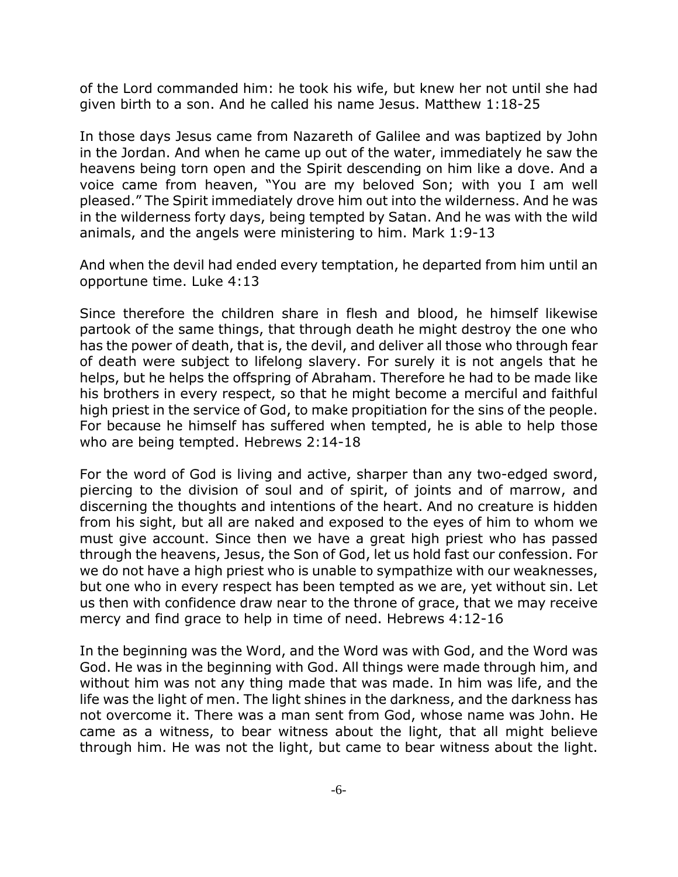of the Lord commanded him: he took his wife, but knew her not until she had given birth to a son. And he called his name Jesus. Matthew 1:18-25

In those days Jesus came from Nazareth of Galilee and was baptized by John in the Jordan. And when he came up out of the water, immediately he saw the heavens being torn open and the Spirit descending on him like a dove. And a voice came from heaven, "You are my beloved Son; with you I am well pleased." The Spirit immediately drove him out into the wilderness. And he was in the wilderness forty days, being tempted by Satan. And he was with the wild animals, and the angels were ministering to him. Mark 1:9-13

And when the devil had ended every temptation, he departed from him until an opportune time. Luke 4:13

Since therefore the children share in flesh and blood, he himself likewise partook of the same things, that through death he might destroy the one who has the power of death, that is, the devil, and deliver all those who through fear of death were subject to lifelong slavery. For surely it is not angels that he helps, but he helps the offspring of Abraham. Therefore he had to be made like his brothers in every respect, so that he might become a merciful and faithful high priest in the service of God, to make propitiation for the sins of the people. For because he himself has suffered when tempted, he is able to help those who are being tempted. Hebrews 2:14-18

For the word of God is living and active, sharper than any two-edged sword, piercing to the division of soul and of spirit, of joints and of marrow, and discerning the thoughts and intentions of the heart. And no creature is hidden from his sight, but all are naked and exposed to the eyes of him to whom we must give account. Since then we have a great high priest who has passed through the heavens, Jesus, the Son of God, let us hold fast our confession. For we do not have a high priest who is unable to sympathize with our weaknesses, but one who in every respect has been tempted as we are, yet without sin. Let us then with confidence draw near to the throne of grace, that we may receive mercy and find grace to help in time of need. Hebrews 4:12-16

In the beginning was the Word, and the Word was with God, and the Word was God. He was in the beginning with God. All things were made through him, and without him was not any thing made that was made. In him was life, and the life was the light of men. The light shines in the darkness, and the darkness has not overcome it. There was a man sent from God, whose name was John. He came as a witness, to bear witness about the light, that all might believe through him. He was not the light, but came to bear witness about the light.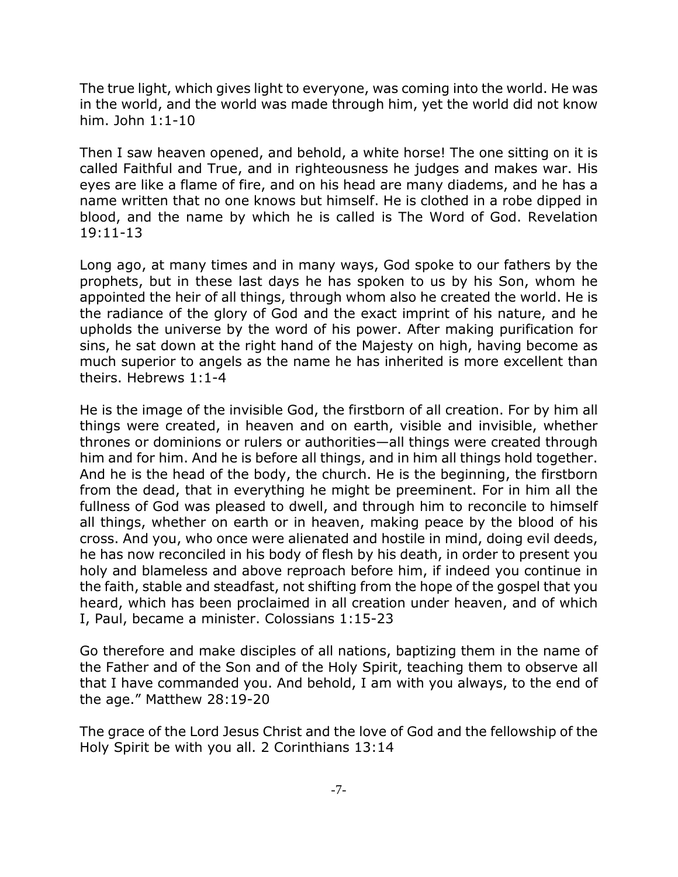The true light, which gives light to everyone, was coming into the world. He was in the world, and the world was made through him, yet the world did not know him. John 1:1-10

Then I saw heaven opened, and behold, a white horse! The one sitting on it is called Faithful and True, and in righteousness he judges and makes war. His eyes are like a flame of fire, and on his head are many diadems, and he has a name written that no one knows but himself. He is clothed in a robe dipped in blood, and the name by which he is called is The Word of God. Revelation 19:11-13

Long ago, at many times and in many ways, God spoke to our fathers by the prophets, but in these last days he has spoken to us by his Son, whom he appointed the heir of all things, through whom also he created the world. He is the radiance of the glory of God and the exact imprint of his nature, and he upholds the universe by the word of his power. After making purification for sins, he sat down at the right hand of the Majesty on high, having become as much superior to angels as the name he has inherited is more excellent than theirs. Hebrews 1:1-4

He is the image of the invisible God, the firstborn of all creation. For by him all things were created, in heaven and on earth, visible and invisible, whether thrones or dominions or rulers or authorities—all things were created through him and for him. And he is before all things, and in him all things hold together. And he is the head of the body, the church. He is the beginning, the firstborn from the dead, that in everything he might be preeminent. For in him all the fullness of God was pleased to dwell, and through him to reconcile to himself all things, whether on earth or in heaven, making peace by the blood of his cross. And you, who once were alienated and hostile in mind, doing evil deeds, he has now reconciled in his body of flesh by his death, in order to present you holy and blameless and above reproach before him, if indeed you continue in the faith, stable and steadfast, not shifting from the hope of the gospel that you heard, which has been proclaimed in all creation under heaven, and of which I, Paul, became a minister. Colossians 1:15-23

Go therefore and make disciples of all nations, baptizing them in the name of the Father and of the Son and of the Holy Spirit, teaching them to observe all that I have commanded you. And behold, I am with you always, to the end of the age." Matthew 28:19-20

The grace of the Lord Jesus Christ and the love of God and the fellowship of the Holy Spirit be with you all. 2 Corinthians 13:14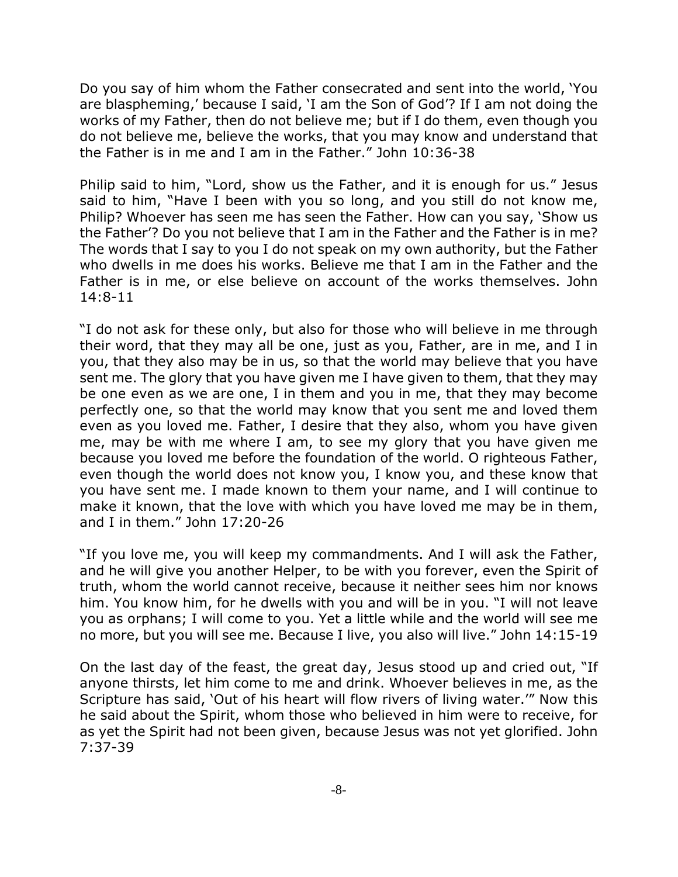Do you say of him whom the Father consecrated and sent into the world, 'You are blaspheming,' because I said, 'I am the Son of God'? If I am not doing the works of my Father, then do not believe me; but if I do them, even though you do not believe me, believe the works, that you may know and understand that the Father is in me and I am in the Father." John 10:36-38

Philip said to him, "Lord, show us the Father, and it is enough for us." Jesus said to him, "Have I been with you so long, and you still do not know me, Philip? Whoever has seen me has seen the Father. How can you say, 'Show us the Father'? Do you not believe that I am in the Father and the Father is in me? The words that I say to you I do not speak on my own authority, but the Father who dwells in me does his works. Believe me that I am in the Father and the Father is in me, or else believe on account of the works themselves. John 14:8-11

"I do not ask for these only, but also for those who will believe in me through their word, that they may all be one, just as you, Father, are in me, and I in you, that they also may be in us, so that the world may believe that you have sent me. The glory that you have given me I have given to them, that they may be one even as we are one, I in them and you in me, that they may become perfectly one, so that the world may know that you sent me and loved them even as you loved me. Father, I desire that they also, whom you have given me, may be with me where I am, to see my glory that you have given me because you loved me before the foundation of the world. O righteous Father, even though the world does not know you, I know you, and these know that you have sent me. I made known to them your name, and I will continue to make it known, that the love with which you have loved me may be in them, and I in them." John 17:20-26

"If you love me, you will keep my commandments. And I will ask the Father, and he will give you another Helper, to be with you forever, even the Spirit of truth, whom the world cannot receive, because it neither sees him nor knows him. You know him, for he dwells with you and will be in you. "I will not leave you as orphans; I will come to you. Yet a little while and the world will see me no more, but you will see me. Because I live, you also will live." John 14:15-19

On the last day of the feast, the great day, Jesus stood up and cried out, "If anyone thirsts, let him come to me and drink. Whoever believes in me, as the Scripture has said, 'Out of his heart will flow rivers of living water.'" Now this he said about the Spirit, whom those who believed in him were to receive, for as yet the Spirit had not been given, because Jesus was not yet glorified. John 7:37-39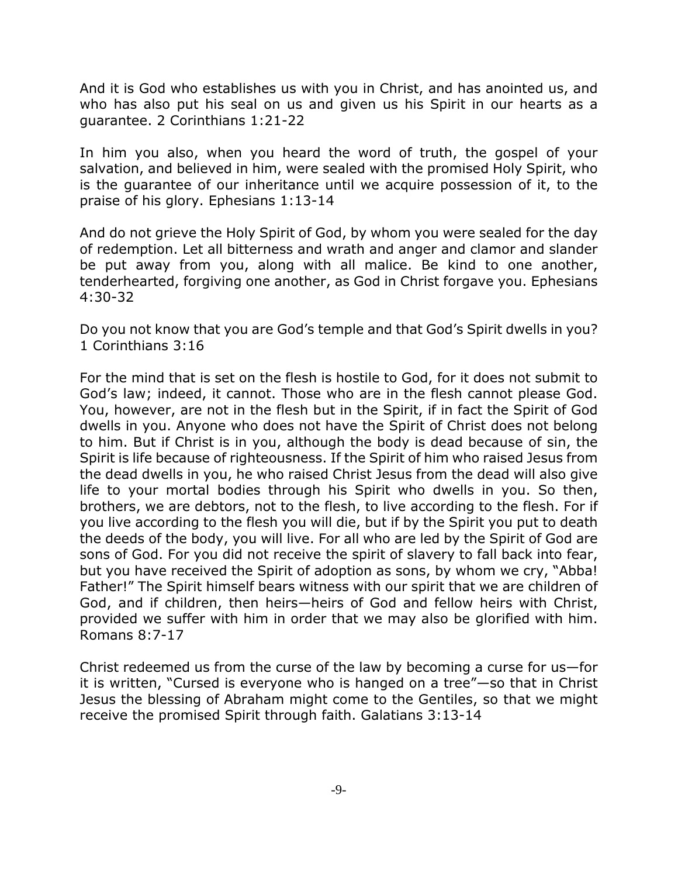And it is God who establishes us with you in Christ, and has anointed us, and who has also put his seal on us and given us his Spirit in our hearts as a guarantee. 2 Corinthians 1:21-22

In him you also, when you heard the word of truth, the gospel of your salvation, and believed in him, were sealed with the promised Holy Spirit, who is the guarantee of our inheritance until we acquire possession of it, to the praise of his glory. Ephesians 1:13-14

And do not grieve the Holy Spirit of God, by whom you were sealed for the day of redemption. Let all bitterness and wrath and anger and clamor and slander be put away from you, along with all malice. Be kind to one another, tenderhearted, forgiving one another, as God in Christ forgave you. Ephesians 4:30-32

Do you not know that you are God's temple and that God's Spirit dwells in you? 1 Corinthians 3:16

For the mind that is set on the flesh is hostile to God, for it does not submit to God's law; indeed, it cannot. Those who are in the flesh cannot please God. You, however, are not in the flesh but in the Spirit, if in fact the Spirit of God dwells in you. Anyone who does not have the Spirit of Christ does not belong to him. But if Christ is in you, although the body is dead because of sin, the Spirit is life because of righteousness. If the Spirit of him who raised Jesus from the dead dwells in you, he who raised Christ Jesus from the dead will also give life to your mortal bodies through his Spirit who dwells in you. So then, brothers, we are debtors, not to the flesh, to live according to the flesh. For if you live according to the flesh you will die, but if by the Spirit you put to death the deeds of the body, you will live. For all who are led by the Spirit of God are sons of God. For you did not receive the spirit of slavery to fall back into fear, but you have received the Spirit of adoption as sons, by whom we cry, "Abba! Father!" The Spirit himself bears witness with our spirit that we are children of God, and if children, then heirs—heirs of God and fellow heirs with Christ, provided we suffer with him in order that we may also be glorified with him. Romans 8:7-17

Christ redeemed us from the curse of the law by becoming a curse for us—for it is written, "Cursed is everyone who is hanged on a tree"—so that in Christ Jesus the blessing of Abraham might come to the Gentiles, so that we might receive the promised Spirit through faith. Galatians 3:13-14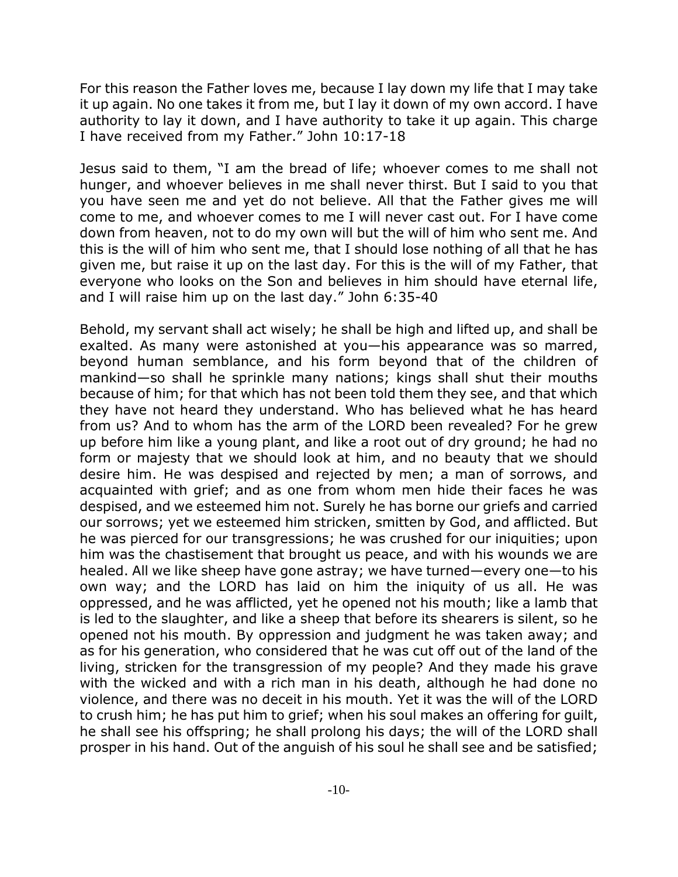For this reason the Father loves me, because I lay down my life that I may take it up again. No one takes it from me, but I lay it down of my own accord. I have authority to lay it down, and I have authority to take it up again. This charge I have received from my Father." John 10:17-18

Jesus said to them, "I am the bread of life; whoever comes to me shall not hunger, and whoever believes in me shall never thirst. But I said to you that you have seen me and yet do not believe. All that the Father gives me will come to me, and whoever comes to me I will never cast out. For I have come down from heaven, not to do my own will but the will of him who sent me. And this is the will of him who sent me, that I should lose nothing of all that he has given me, but raise it up on the last day. For this is the will of my Father, that everyone who looks on the Son and believes in him should have eternal life, and I will raise him up on the last day." John 6:35-40

Behold, my servant shall act wisely; he shall be high and lifted up, and shall be exalted. As many were astonished at you—his appearance was so marred, beyond human semblance, and his form beyond that of the children of mankind—so shall he sprinkle many nations; kings shall shut their mouths because of him; for that which has not been told them they see, and that which they have not heard they understand. Who has believed what he has heard from us? And to whom has the arm of the LORD been revealed? For he grew up before him like a young plant, and like a root out of dry ground; he had no form or majesty that we should look at him, and no beauty that we should desire him. He was despised and rejected by men; a man of sorrows, and acquainted with grief; and as one from whom men hide their faces he was despised, and we esteemed him not. Surely he has borne our griefs and carried our sorrows; yet we esteemed him stricken, smitten by God, and afflicted. But he was pierced for our transgressions; he was crushed for our iniquities; upon him was the chastisement that brought us peace, and with his wounds we are healed. All we like sheep have gone astray; we have turned—every one—to his own way; and the LORD has laid on him the iniquity of us all. He was oppressed, and he was afflicted, yet he opened not his mouth; like a lamb that is led to the slaughter, and like a sheep that before its shearers is silent, so he opened not his mouth. By oppression and judgment he was taken away; and as for his generation, who considered that he was cut off out of the land of the living, stricken for the transgression of my people? And they made his grave with the wicked and with a rich man in his death, although he had done no violence, and there was no deceit in his mouth. Yet it was the will of the LORD to crush him; he has put him to grief; when his soul makes an offering for guilt, he shall see his offspring; he shall prolong his days; the will of the LORD shall prosper in his hand. Out of the anguish of his soul he shall see and be satisfied;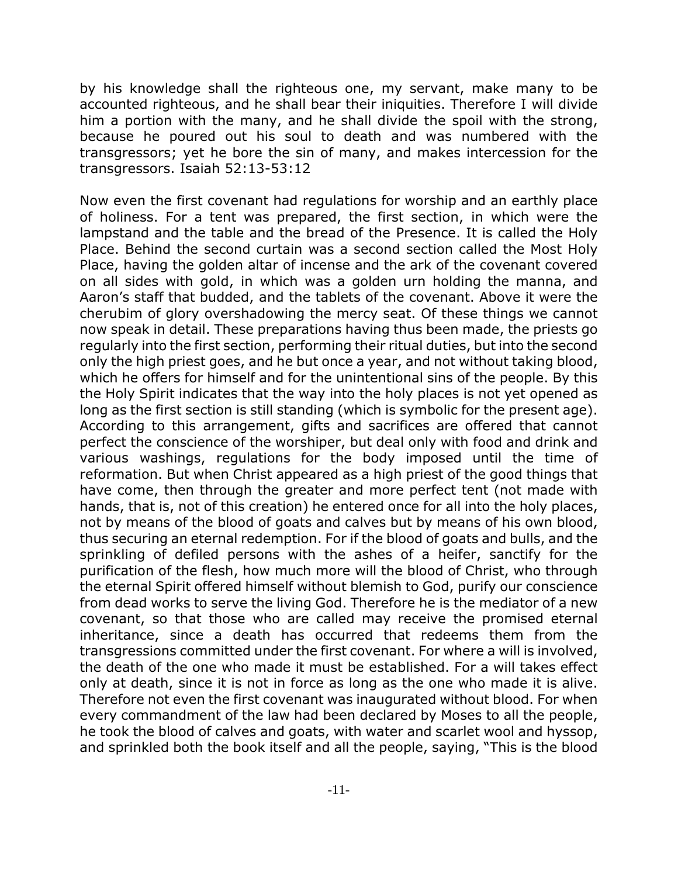by his knowledge shall the righteous one, my servant, make many to be accounted righteous, and he shall bear their iniquities. Therefore I will divide him a portion with the many, and he shall divide the spoil with the strong, because he poured out his soul to death and was numbered with the transgressors; yet he bore the sin of many, and makes intercession for the transgressors. Isaiah 52:13-53:12

Now even the first covenant had regulations for worship and an earthly place of holiness. For a tent was prepared, the first section, in which were the lampstand and the table and the bread of the Presence. It is called the Holy Place. Behind the second curtain was a second section called the Most Holy Place, having the golden altar of incense and the ark of the covenant covered on all sides with gold, in which was a golden urn holding the manna, and Aaron's staff that budded, and the tablets of the covenant. Above it were the cherubim of glory overshadowing the mercy seat. Of these things we cannot now speak in detail. These preparations having thus been made, the priests go regularly into the first section, performing their ritual duties, but into the second only the high priest goes, and he but once a year, and not without taking blood, which he offers for himself and for the unintentional sins of the people. By this the Holy Spirit indicates that the way into the holy places is not yet opened as long as the first section is still standing (which is symbolic for the present age). According to this arrangement, gifts and sacrifices are offered that cannot perfect the conscience of the worshiper, but deal only with food and drink and various washings, regulations for the body imposed until the time of reformation. But when Christ appeared as a high priest of the good things that have come, then through the greater and more perfect tent (not made with hands, that is, not of this creation) he entered once for all into the holy places, not by means of the blood of goats and calves but by means of his own blood, thus securing an eternal redemption. For if the blood of goats and bulls, and the sprinkling of defiled persons with the ashes of a heifer, sanctify for the purification of the flesh, how much more will the blood of Christ, who through the eternal Spirit offered himself without blemish to God, purify our conscience from dead works to serve the living God. Therefore he is the mediator of a new covenant, so that those who are called may receive the promised eternal inheritance, since a death has occurred that redeems them from the transgressions committed under the first covenant. For where a will is involved, the death of the one who made it must be established. For a will takes effect only at death, since it is not in force as long as the one who made it is alive. Therefore not even the first covenant was inaugurated without blood. For when every commandment of the law had been declared by Moses to all the people, he took the blood of calves and goats, with water and scarlet wool and hyssop, and sprinkled both the book itself and all the people, saying, "This is the blood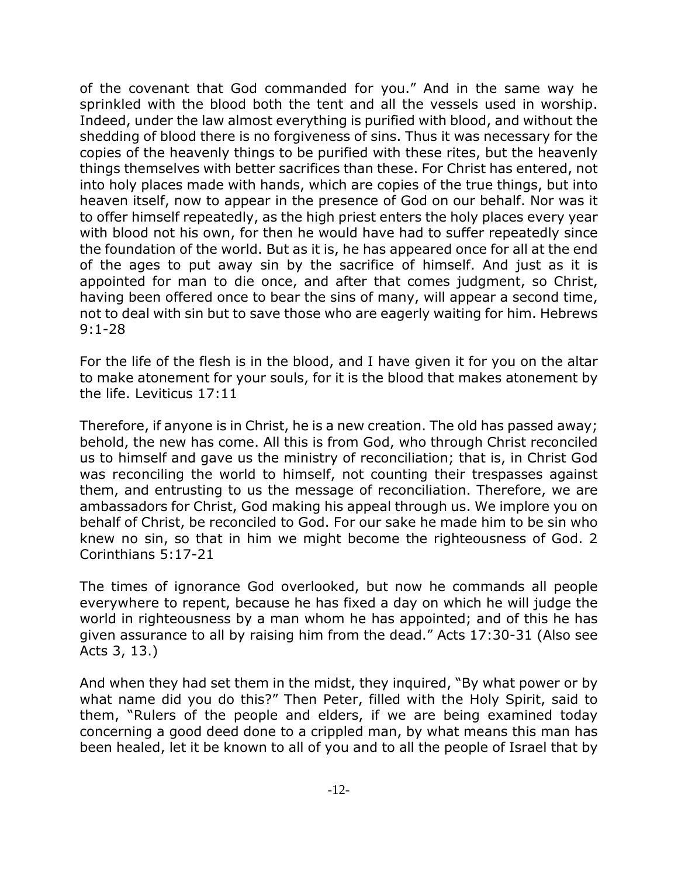of the covenant that God commanded for you." And in the same way he sprinkled with the blood both the tent and all the vessels used in worship. Indeed, under the law almost everything is purified with blood, and without the shedding of blood there is no forgiveness of sins. Thus it was necessary for the copies of the heavenly things to be purified with these rites, but the heavenly things themselves with better sacrifices than these. For Christ has entered, not into holy places made with hands, which are copies of the true things, but into heaven itself, now to appear in the presence of God on our behalf. Nor was it to offer himself repeatedly, as the high priest enters the holy places every year with blood not his own, for then he would have had to suffer repeatedly since the foundation of the world. But as it is, he has appeared once for all at the end of the ages to put away sin by the sacrifice of himself. And just as it is appointed for man to die once, and after that comes judgment, so Christ, having been offered once to bear the sins of many, will appear a second time, not to deal with sin but to save those who are eagerly waiting for him. Hebrews 9:1-28

For the life of the flesh is in the blood, and I have given it for you on the altar to make atonement for your souls, for it is the blood that makes atonement by the life. Leviticus 17:11

Therefore, if anyone is in Christ, he is a new creation. The old has passed away; behold, the new has come. All this is from God, who through Christ reconciled us to himself and gave us the ministry of reconciliation; that is, in Christ God was reconciling the world to himself, not counting their trespasses against them, and entrusting to us the message of reconciliation. Therefore, we are ambassadors for Christ, God making his appeal through us. We implore you on behalf of Christ, be reconciled to God. For our sake he made him to be sin who knew no sin, so that in him we might become the righteousness of God. 2 Corinthians 5:17-21

The times of ignorance God overlooked, but now he commands all people everywhere to repent, because he has fixed a day on which he will judge the world in righteousness by a man whom he has appointed; and of this he has given assurance to all by raising him from the dead." Acts 17:30-31 (Also see Acts 3, 13.)

And when they had set them in the midst, they inquired, "By what power or by what name did you do this?" Then Peter, filled with the Holy Spirit, said to them, "Rulers of the people and elders, if we are being examined today concerning a good deed done to a crippled man, by what means this man has been healed, let it be known to all of you and to all the people of Israel that by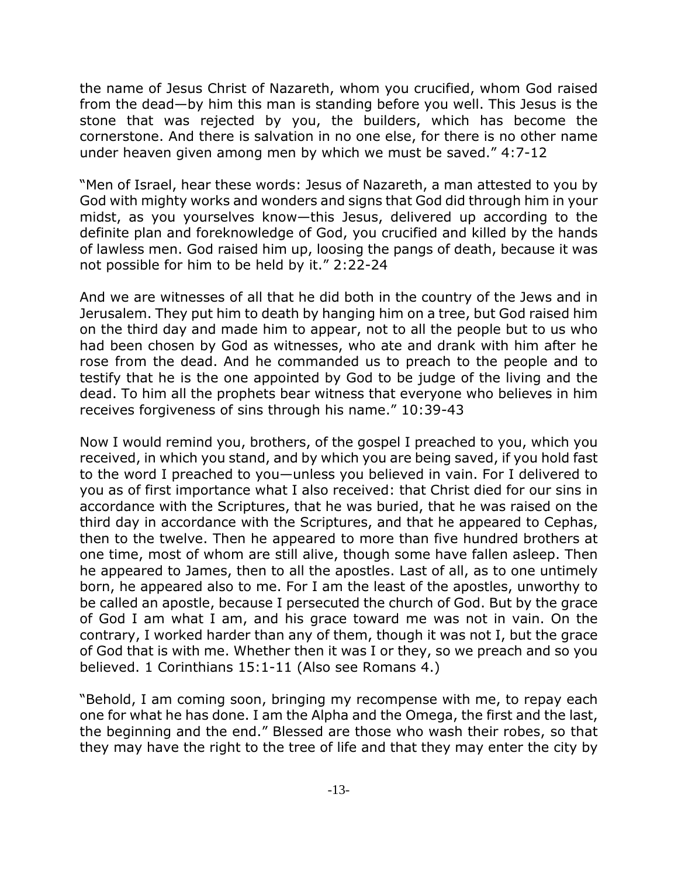the name of Jesus Christ of Nazareth, whom you crucified, whom God raised from the dead—by him this man is standing before you well. This Jesus is the stone that was rejected by you, the builders, which has become the cornerstone. And there is salvation in no one else, for there is no other name under heaven given among men by which we must be saved." 4:7-12

"Men of Israel, hear these words: Jesus of Nazareth, a man attested to you by God with mighty works and wonders and signs that God did through him in your midst, as you yourselves know—this Jesus, delivered up according to the definite plan and foreknowledge of God, you crucified and killed by the hands of lawless men. God raised him up, loosing the pangs of death, because it was not possible for him to be held by it." 2:22-24

And we are witnesses of all that he did both in the country of the Jews and in Jerusalem. They put him to death by hanging him on a tree, but God raised him on the third day and made him to appear, not to all the people but to us who had been chosen by God as witnesses, who ate and drank with him after he rose from the dead. And he commanded us to preach to the people and to testify that he is the one appointed by God to be judge of the living and the dead. To him all the prophets bear witness that everyone who believes in him receives forgiveness of sins through his name." 10:39-43

Now I would remind you, brothers, of the gospel I preached to you, which you received, in which you stand, and by which you are being saved, if you hold fast to the word I preached to you—unless you believed in vain. For I delivered to you as of first importance what I also received: that Christ died for our sins in accordance with the Scriptures, that he was buried, that he was raised on the third day in accordance with the Scriptures, and that he appeared to Cephas, then to the twelve. Then he appeared to more than five hundred brothers at one time, most of whom are still alive, though some have fallen asleep. Then he appeared to James, then to all the apostles. Last of all, as to one untimely born, he appeared also to me. For I am the least of the apostles, unworthy to be called an apostle, because I persecuted the church of God. But by the grace of God I am what I am, and his grace toward me was not in vain. On the contrary, I worked harder than any of them, though it was not I, but the grace of God that is with me. Whether then it was I or they, so we preach and so you believed. 1 Corinthians 15:1-11 (Also see Romans 4.)

"Behold, I am coming soon, bringing my recompense with me, to repay each one for what he has done. I am the Alpha and the Omega, the first and the last, the beginning and the end." Blessed are those who wash their robes, so that they may have the right to the tree of life and that they may enter the city by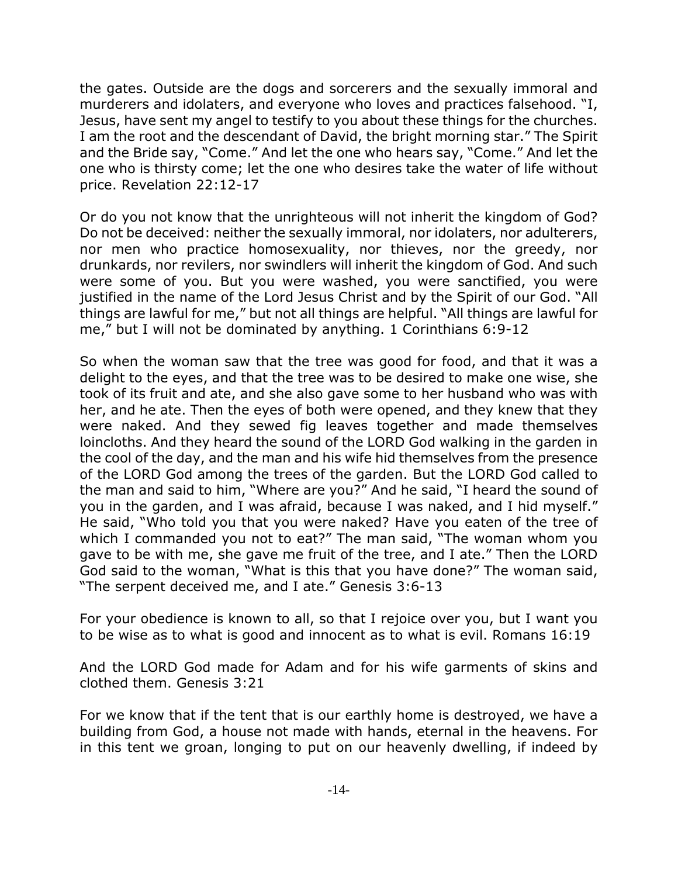the gates. Outside are the dogs and sorcerers and the sexually immoral and murderers and idolaters, and everyone who loves and practices falsehood. "I, Jesus, have sent my angel to testify to you about these things for the churches. I am the root and the descendant of David, the bright morning star." The Spirit and the Bride say, "Come." And let the one who hears say, "Come." And let the one who is thirsty come; let the one who desires take the water of life without price. Revelation 22:12-17

Or do you not know that the unrighteous will not inherit the kingdom of God? Do not be deceived: neither the sexually immoral, nor idolaters, nor adulterers, nor men who practice homosexuality, nor thieves, nor the greedy, nor drunkards, nor revilers, nor swindlers will inherit the kingdom of God. And such were some of you. But you were washed, you were sanctified, you were justified in the name of the Lord Jesus Christ and by the Spirit of our God. "All things are lawful for me," but not all things are helpful. "All things are lawful for me," but I will not be dominated by anything. 1 Corinthians 6:9-12

So when the woman saw that the tree was good for food, and that it was a delight to the eyes, and that the tree was to be desired to make one wise, she took of its fruit and ate, and she also gave some to her husband who was with her, and he ate. Then the eyes of both were opened, and they knew that they were naked. And they sewed fig leaves together and made themselves loincloths. And they heard the sound of the LORD God walking in the garden in the cool of the day, and the man and his wife hid themselves from the presence of the LORD God among the trees of the garden. But the LORD God called to the man and said to him, "Where are you?" And he said, "I heard the sound of you in the garden, and I was afraid, because I was naked, and I hid myself." He said, "Who told you that you were naked? Have you eaten of the tree of which I commanded you not to eat?" The man said, "The woman whom you gave to be with me, she gave me fruit of the tree, and I ate." Then the LORD God said to the woman, "What is this that you have done?" The woman said, "The serpent deceived me, and I ate." Genesis 3:6-13

For your obedience is known to all, so that I rejoice over you, but I want you to be wise as to what is good and innocent as to what is evil. Romans 16:19

And the LORD God made for Adam and for his wife garments of skins and clothed them. Genesis 3:21

For we know that if the tent that is our earthly home is destroyed, we have a building from God, a house not made with hands, eternal in the heavens. For in this tent we groan, longing to put on our heavenly dwelling, if indeed by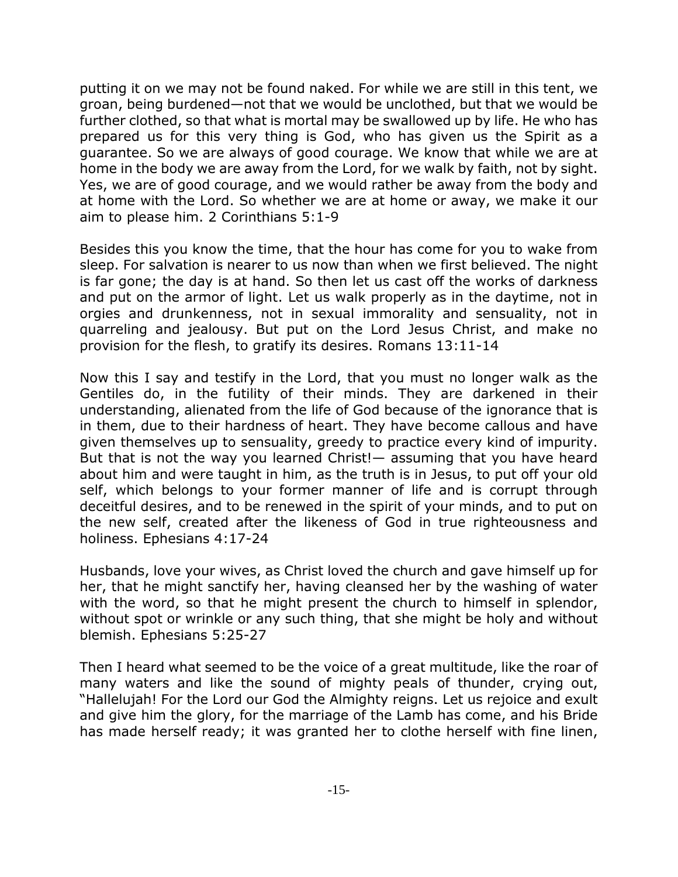putting it on we may not be found naked. For while we are still in this tent, we groan, being burdened—not that we would be unclothed, but that we would be further clothed, so that what is mortal may be swallowed up by life. He who has prepared us for this very thing is God, who has given us the Spirit as a guarantee. So we are always of good courage. We know that while we are at home in the body we are away from the Lord, for we walk by faith, not by sight. Yes, we are of good courage, and we would rather be away from the body and at home with the Lord. So whether we are at home or away, we make it our aim to please him. 2 Corinthians 5:1-9

Besides this you know the time, that the hour has come for you to wake from sleep. For salvation is nearer to us now than when we first believed. The night is far gone; the day is at hand. So then let us cast off the works of darkness and put on the armor of light. Let us walk properly as in the daytime, not in orgies and drunkenness, not in sexual immorality and sensuality, not in quarreling and jealousy. But put on the Lord Jesus Christ, and make no provision for the flesh, to gratify its desires. Romans 13:11-14

Now this I say and testify in the Lord, that you must no longer walk as the Gentiles do, in the futility of their minds. They are darkened in their understanding, alienated from the life of God because of the ignorance that is in them, due to their hardness of heart. They have become callous and have given themselves up to sensuality, greedy to practice every kind of impurity. But that is not the way you learned Christ!— assuming that you have heard about him and were taught in him, as the truth is in Jesus, to put off your old self, which belongs to your former manner of life and is corrupt through deceitful desires, and to be renewed in the spirit of your minds, and to put on the new self, created after the likeness of God in true righteousness and holiness. Ephesians 4:17-24

Husbands, love your wives, as Christ loved the church and gave himself up for her, that he might sanctify her, having cleansed her by the washing of water with the word, so that he might present the church to himself in splendor, without spot or wrinkle or any such thing, that she might be holy and without blemish. Ephesians 5:25-27

Then I heard what seemed to be the voice of a great multitude, like the roar of many waters and like the sound of mighty peals of thunder, crying out, "Hallelujah! For the Lord our God the Almighty reigns. Let us rejoice and exult and give him the glory, for the marriage of the Lamb has come, and his Bride has made herself ready; it was granted her to clothe herself with fine linen,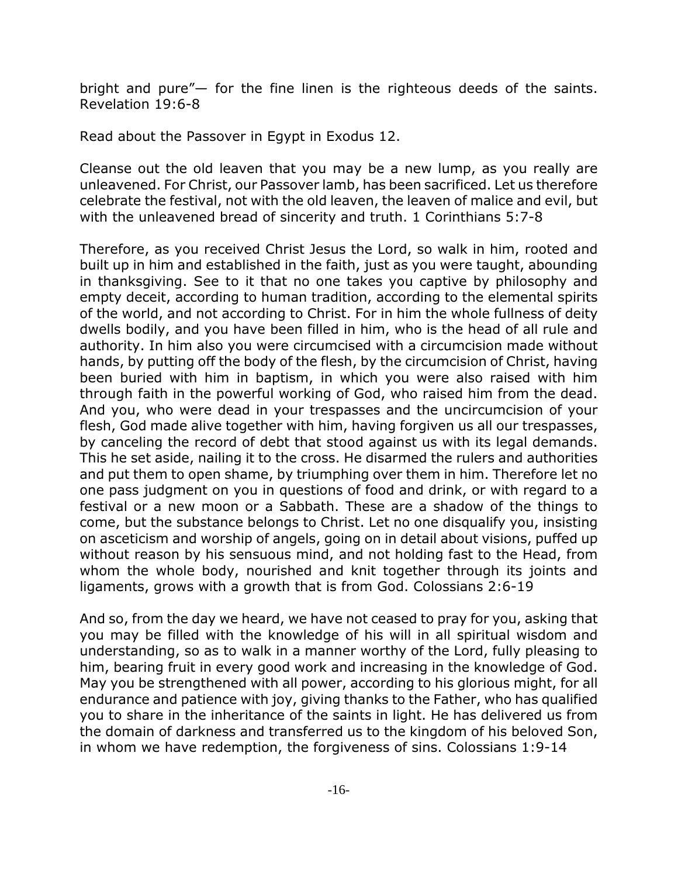bright and pure"— for the fine linen is the righteous deeds of the saints. Revelation 19:6-8

Read about the Passover in Egypt in Exodus 12.

Cleanse out the old leaven that you may be a new lump, as you really are unleavened. For Christ, our Passover lamb, has been sacrificed. Let us therefore celebrate the festival, not with the old leaven, the leaven of malice and evil, but with the unleavened bread of sincerity and truth. 1 Corinthians 5:7-8

Therefore, as you received Christ Jesus the Lord, so walk in him, rooted and built up in him and established in the faith, just as you were taught, abounding in thanksgiving. See to it that no one takes you captive by philosophy and empty deceit, according to human tradition, according to the elemental spirits of the world, and not according to Christ. For in him the whole fullness of deity dwells bodily, and you have been filled in him, who is the head of all rule and authority. In him also you were circumcised with a circumcision made without hands, by putting off the body of the flesh, by the circumcision of Christ, having been buried with him in baptism, in which you were also raised with him through faith in the powerful working of God, who raised him from the dead. And you, who were dead in your trespasses and the uncircumcision of your flesh, God made alive together with him, having forgiven us all our trespasses, by canceling the record of debt that stood against us with its legal demands. This he set aside, nailing it to the cross. He disarmed the rulers and authorities and put them to open shame, by triumphing over them in him. Therefore let no one pass judgment on you in questions of food and drink, or with regard to a festival or a new moon or a Sabbath. These are a shadow of the things to come, but the substance belongs to Christ. Let no one disqualify you, insisting on asceticism and worship of angels, going on in detail about visions, puffed up without reason by his sensuous mind, and not holding fast to the Head, from whom the whole body, nourished and knit together through its joints and ligaments, grows with a growth that is from God. Colossians 2:6-19

And so, from the day we heard, we have not ceased to pray for you, asking that you may be filled with the knowledge of his will in all spiritual wisdom and understanding, so as to walk in a manner worthy of the Lord, fully pleasing to him, bearing fruit in every good work and increasing in the knowledge of God. May you be strengthened with all power, according to his glorious might, for all endurance and patience with joy, giving thanks to the Father, who has qualified you to share in the inheritance of the saints in light. He has delivered us from the domain of darkness and transferred us to the kingdom of his beloved Son, in whom we have redemption, the forgiveness of sins. Colossians 1:9-14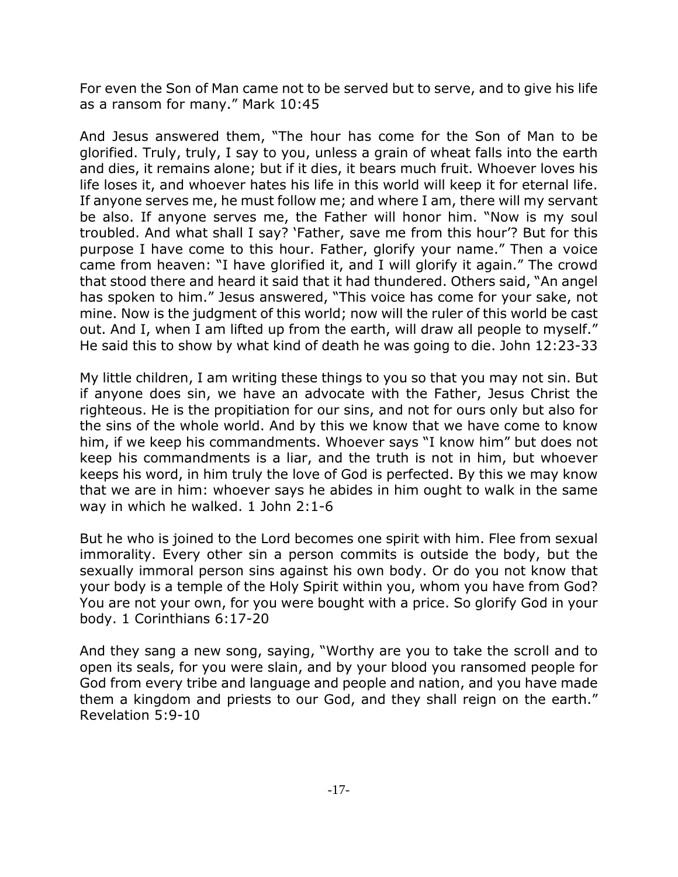For even the Son of Man came not to be served but to serve, and to give his life as a ransom for many." Mark 10:45

And Jesus answered them, "The hour has come for the Son of Man to be glorified. Truly, truly, I say to you, unless a grain of wheat falls into the earth and dies, it remains alone; but if it dies, it bears much fruit. Whoever loves his life loses it, and whoever hates his life in this world will keep it for eternal life. If anyone serves me, he must follow me; and where I am, there will my servant be also. If anyone serves me, the Father will honor him. "Now is my soul troubled. And what shall I say? 'Father, save me from this hour'? But for this purpose I have come to this hour. Father, glorify your name." Then a voice came from heaven: "I have glorified it, and I will glorify it again." The crowd that stood there and heard it said that it had thundered. Others said, "An angel has spoken to him." Jesus answered, "This voice has come for your sake, not mine. Now is the judgment of this world; now will the ruler of this world be cast out. And I, when I am lifted up from the earth, will draw all people to myself." He said this to show by what kind of death he was going to die. John 12:23-33

My little children, I am writing these things to you so that you may not sin. But if anyone does sin, we have an advocate with the Father, Jesus Christ the righteous. He is the propitiation for our sins, and not for ours only but also for the sins of the whole world. And by this we know that we have come to know him, if we keep his commandments. Whoever says "I know him" but does not keep his commandments is a liar, and the truth is not in him, but whoever keeps his word, in him truly the love of God is perfected. By this we may know that we are in him: whoever says he abides in him ought to walk in the same way in which he walked. 1 John 2:1-6

But he who is joined to the Lord becomes one spirit with him. Flee from sexual immorality. Every other sin a person commits is outside the body, but the sexually immoral person sins against his own body. Or do you not know that your body is a temple of the Holy Spirit within you, whom you have from God? You are not your own, for you were bought with a price. So glorify God in your body. 1 Corinthians 6:17-20

And they sang a new song, saying, "Worthy are you to take the scroll and to open its seals, for you were slain, and by your blood you ransomed people for God from every tribe and language and people and nation, and you have made them a kingdom and priests to our God, and they shall reign on the earth." Revelation 5:9-10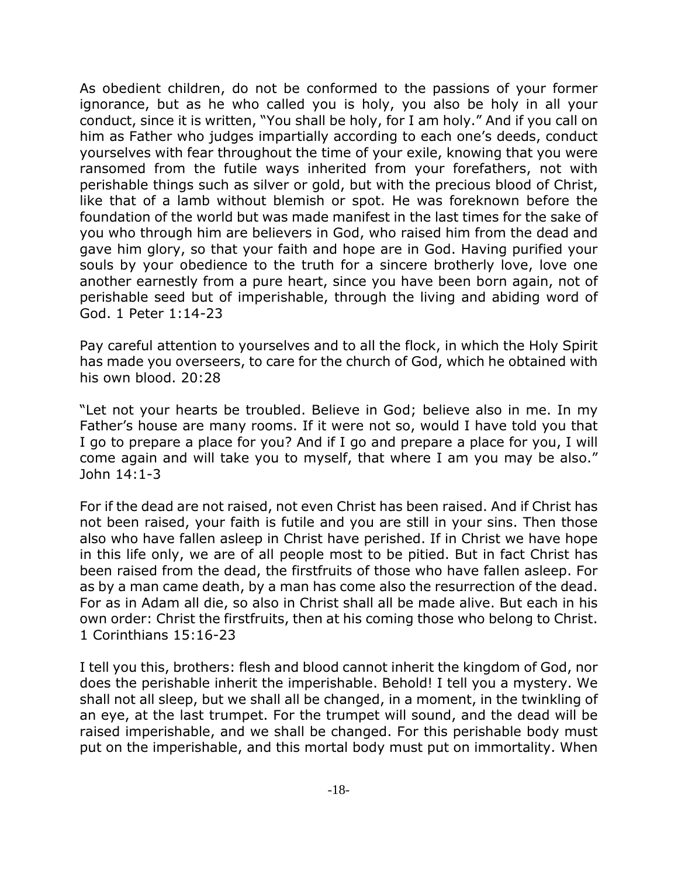As obedient children, do not be conformed to the passions of your former ignorance, but as he who called you is holy, you also be holy in all your conduct, since it is written, "You shall be holy, for I am holy." And if you call on him as Father who judges impartially according to each one's deeds, conduct yourselves with fear throughout the time of your exile, knowing that you were ransomed from the futile ways inherited from your forefathers, not with perishable things such as silver or gold, but with the precious blood of Christ, like that of a lamb without blemish or spot. He was foreknown before the foundation of the world but was made manifest in the last times for the sake of you who through him are believers in God, who raised him from the dead and gave him glory, so that your faith and hope are in God. Having purified your souls by your obedience to the truth for a sincere brotherly love, love one another earnestly from a pure heart, since you have been born again, not of perishable seed but of imperishable, through the living and abiding word of God. 1 Peter 1:14-23

Pay careful attention to yourselves and to all the flock, in which the Holy Spirit has made you overseers, to care for the church of God, which he obtained with his own blood. 20:28

"Let not your hearts be troubled. Believe in God; believe also in me. In my Father's house are many rooms. If it were not so, would I have told you that I go to prepare a place for you? And if I go and prepare a place for you, I will come again and will take you to myself, that where I am you may be also." John 14:1-3

For if the dead are not raised, not even Christ has been raised. And if Christ has not been raised, your faith is futile and you are still in your sins. Then those also who have fallen asleep in Christ have perished. If in Christ we have hope in this life only, we are of all people most to be pitied. But in fact Christ has been raised from the dead, the firstfruits of those who have fallen asleep. For as by a man came death, by a man has come also the resurrection of the dead. For as in Adam all die, so also in Christ shall all be made alive. But each in his own order: Christ the firstfruits, then at his coming those who belong to Christ. 1 Corinthians 15:16-23

I tell you this, brothers: flesh and blood cannot inherit the kingdom of God, nor does the perishable inherit the imperishable. Behold! I tell you a mystery. We shall not all sleep, but we shall all be changed, in a moment, in the twinkling of an eye, at the last trumpet. For the trumpet will sound, and the dead will be raised imperishable, and we shall be changed. For this perishable body must put on the imperishable, and this mortal body must put on immortality. When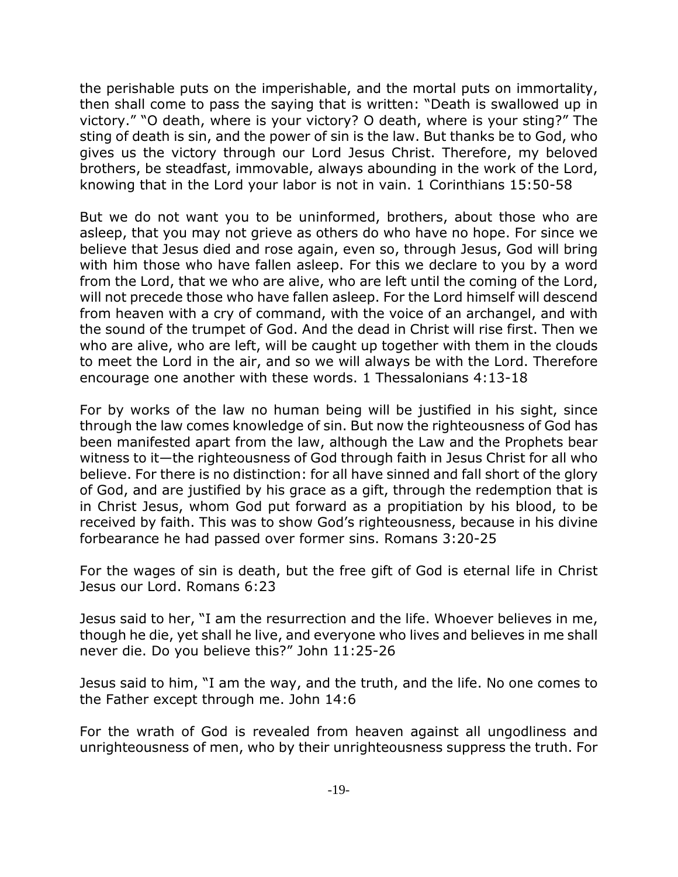the perishable puts on the imperishable, and the mortal puts on immortality, then shall come to pass the saying that is written: "Death is swallowed up in victory." "O death, where is your victory? O death, where is your sting?" The sting of death is sin, and the power of sin is the law. But thanks be to God, who gives us the victory through our Lord Jesus Christ. Therefore, my beloved brothers, be steadfast, immovable, always abounding in the work of the Lord, knowing that in the Lord your labor is not in vain. 1 Corinthians 15:50-58

But we do not want you to be uninformed, brothers, about those who are asleep, that you may not grieve as others do who have no hope. For since we believe that Jesus died and rose again, even so, through Jesus, God will bring with him those who have fallen asleep. For this we declare to you by a word from the Lord, that we who are alive, who are left until the coming of the Lord, will not precede those who have fallen asleep. For the Lord himself will descend from heaven with a cry of command, with the voice of an archangel, and with the sound of the trumpet of God. And the dead in Christ will rise first. Then we who are alive, who are left, will be caught up together with them in the clouds to meet the Lord in the air, and so we will always be with the Lord. Therefore encourage one another with these words. 1 Thessalonians 4:13-18

For by works of the law no human being will be justified in his sight, since through the law comes knowledge of sin. But now the righteousness of God has been manifested apart from the law, although the Law and the Prophets bear witness to it—the righteousness of God through faith in Jesus Christ for all who believe. For there is no distinction: for all have sinned and fall short of the glory of God, and are justified by his grace as a gift, through the redemption that is in Christ Jesus, whom God put forward as a propitiation by his blood, to be received by faith. This was to show God's righteousness, because in his divine forbearance he had passed over former sins. Romans 3:20-25

For the wages of sin is death, but the free gift of God is eternal life in Christ Jesus our Lord. Romans 6:23

Jesus said to her, "I am the resurrection and the life. Whoever believes in me, though he die, yet shall he live, and everyone who lives and believes in me shall never die. Do you believe this?" John 11:25-26

Jesus said to him, "I am the way, and the truth, and the life. No one comes to the Father except through me. John 14:6

For the wrath of God is revealed from heaven against all ungodliness and unrighteousness of men, who by their unrighteousness suppress the truth. For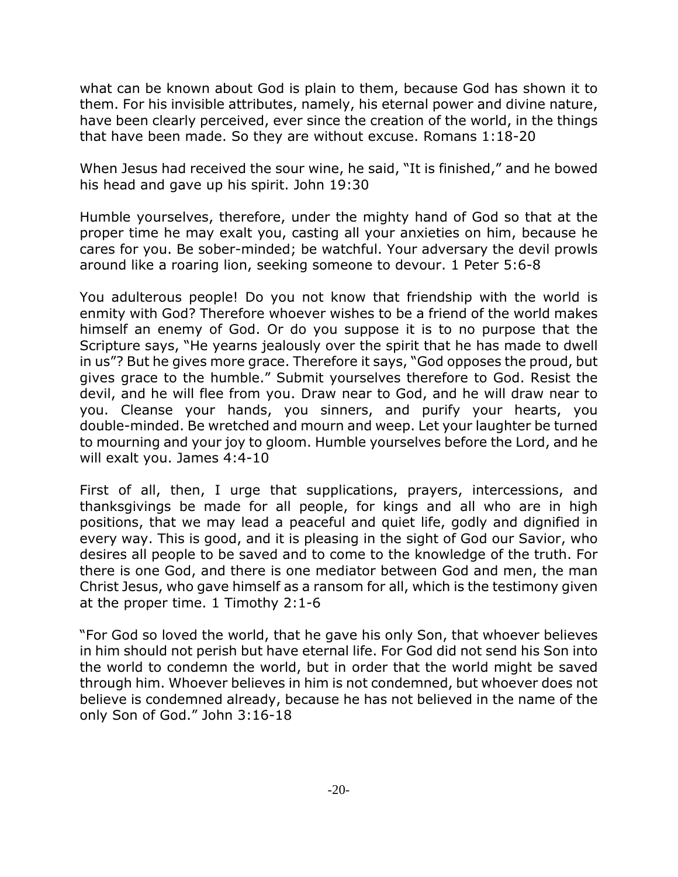what can be known about God is plain to them, because God has shown it to them. For his invisible attributes, namely, his eternal power and divine nature, have been clearly perceived, ever since the creation of the world, in the things that have been made. So they are without excuse. Romans 1:18-20

When Jesus had received the sour wine, he said, "It is finished," and he bowed his head and gave up his spirit. John 19:30

Humble yourselves, therefore, under the mighty hand of God so that at the proper time he may exalt you, casting all your anxieties on him, because he cares for you. Be sober-minded; be watchful. Your adversary the devil prowls around like a roaring lion, seeking someone to devour. 1 Peter 5:6-8

You adulterous people! Do you not know that friendship with the world is enmity with God? Therefore whoever wishes to be a friend of the world makes himself an enemy of God. Or do you suppose it is to no purpose that the Scripture says, "He yearns jealously over the spirit that he has made to dwell in us"? But he gives more grace. Therefore it says, "God opposes the proud, but gives grace to the humble." Submit yourselves therefore to God. Resist the devil, and he will flee from you. Draw near to God, and he will draw near to you. Cleanse your hands, you sinners, and purify your hearts, you double-minded. Be wretched and mourn and weep. Let your laughter be turned to mourning and your joy to gloom. Humble yourselves before the Lord, and he will exalt you. James 4:4-10

First of all, then, I urge that supplications, prayers, intercessions, and thanksgivings be made for all people, for kings and all who are in high positions, that we may lead a peaceful and quiet life, godly and dignified in every way. This is good, and it is pleasing in the sight of God our Savior, who desires all people to be saved and to come to the knowledge of the truth. For there is one God, and there is one mediator between God and men, the man Christ Jesus, who gave himself as a ransom for all, which is the testimony given at the proper time. 1 Timothy 2:1-6

"For God so loved the world, that he gave his only Son, that whoever believes in him should not perish but have eternal life. For God did not send his Son into the world to condemn the world, but in order that the world might be saved through him. Whoever believes in him is not condemned, but whoever does not believe is condemned already, because he has not believed in the name of the only Son of God." John 3:16-18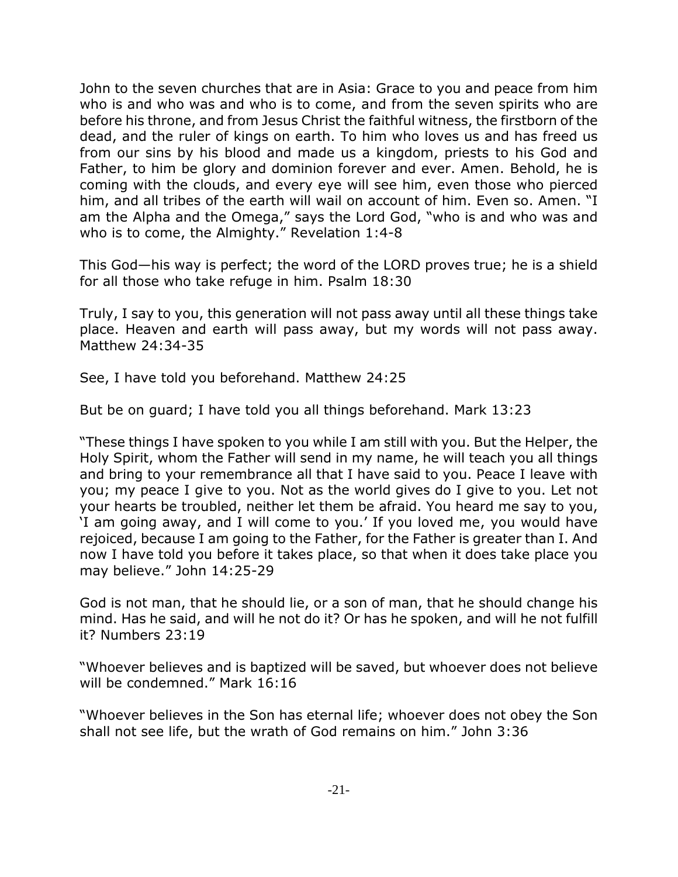John to the seven churches that are in Asia: Grace to you and peace from him who is and who was and who is to come, and from the seven spirits who are before his throne, and from Jesus Christ the faithful witness, the firstborn of the dead, and the ruler of kings on earth. To him who loves us and has freed us from our sins by his blood and made us a kingdom, priests to his God and Father, to him be glory and dominion forever and ever. Amen. Behold, he is coming with the clouds, and every eye will see him, even those who pierced him, and all tribes of the earth will wail on account of him. Even so. Amen. "I am the Alpha and the Omega," says the Lord God, "who is and who was and who is to come, the Almighty." Revelation 1:4-8

This God—his way is perfect; the word of the LORD proves true; he is a shield for all those who take refuge in him. Psalm 18:30

Truly, I say to you, this generation will not pass away until all these things take place. Heaven and earth will pass away, but my words will not pass away. Matthew 24:34-35

See, I have told you beforehand. Matthew 24:25

But be on guard; I have told you all things beforehand. Mark 13:23

"These things I have spoken to you while I am still with you. But the Helper, the Holy Spirit, whom the Father will send in my name, he will teach you all things and bring to your remembrance all that I have said to you. Peace I leave with you; my peace I give to you. Not as the world gives do I give to you. Let not your hearts be troubled, neither let them be afraid. You heard me say to you, 'I am going away, and I will come to you.' If you loved me, you would have rejoiced, because I am going to the Father, for the Father is greater than I. And now I have told you before it takes place, so that when it does take place you may believe." John 14:25-29

God is not man, that he should lie, or a son of man, that he should change his mind. Has he said, and will he not do it? Or has he spoken, and will he not fulfill it? Numbers 23:19

"Whoever believes and is baptized will be saved, but whoever does not believe will be condemned." Mark 16:16

"Whoever believes in the Son has eternal life; whoever does not obey the Son shall not see life, but the wrath of God remains on him." John 3:36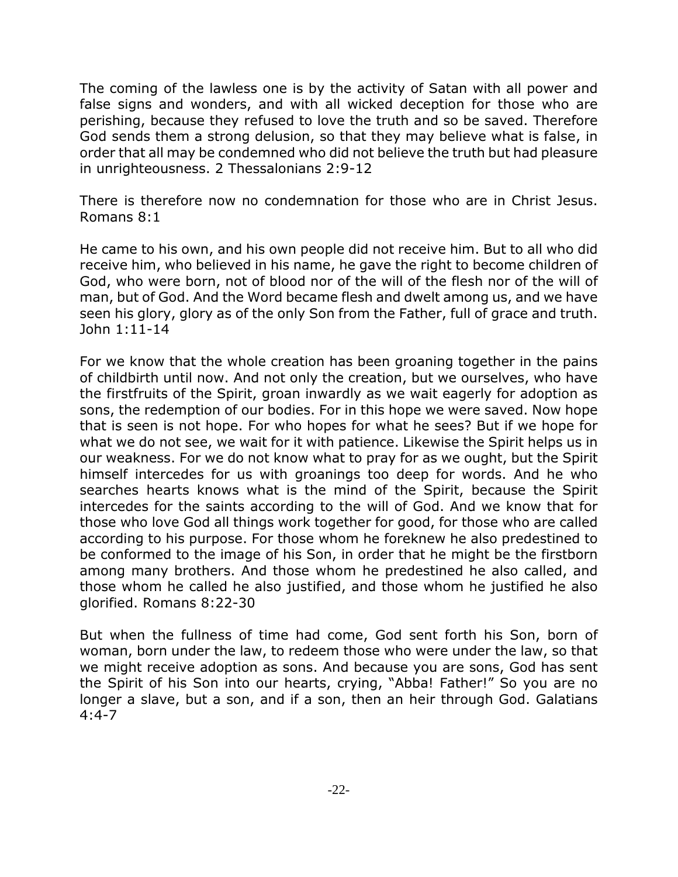The coming of the lawless one is by the activity of Satan with all power and false signs and wonders, and with all wicked deception for those who are perishing, because they refused to love the truth and so be saved. Therefore God sends them a strong delusion, so that they may believe what is false, in order that all may be condemned who did not believe the truth but had pleasure in unrighteousness. 2 Thessalonians 2:9-12

There is therefore now no condemnation for those who are in Christ Jesus. Romans 8:1

He came to his own, and his own people did not receive him. But to all who did receive him, who believed in his name, he gave the right to become children of God, who were born, not of blood nor of the will of the flesh nor of the will of man, but of God. And the Word became flesh and dwelt among us, and we have seen his glory, glory as of the only Son from the Father, full of grace and truth. John 1:11-14

For we know that the whole creation has been groaning together in the pains of childbirth until now. And not only the creation, but we ourselves, who have the firstfruits of the Spirit, groan inwardly as we wait eagerly for adoption as sons, the redemption of our bodies. For in this hope we were saved. Now hope that is seen is not hope. For who hopes for what he sees? But if we hope for what we do not see, we wait for it with patience. Likewise the Spirit helps us in our weakness. For we do not know what to pray for as we ought, but the Spirit himself intercedes for us with groanings too deep for words. And he who searches hearts knows what is the mind of the Spirit, because the Spirit intercedes for the saints according to the will of God. And we know that for those who love God all things work together for good, for those who are called according to his purpose. For those whom he foreknew he also predestined to be conformed to the image of his Son, in order that he might be the firstborn among many brothers. And those whom he predestined he also called, and those whom he called he also justified, and those whom he justified he also glorified. Romans 8:22-30

But when the fullness of time had come, God sent forth his Son, born of woman, born under the law, to redeem those who were under the law, so that we might receive adoption as sons. And because you are sons, God has sent the Spirit of his Son into our hearts, crying, "Abba! Father!" So you are no longer a slave, but a son, and if a son, then an heir through God. Galatians 4:4-7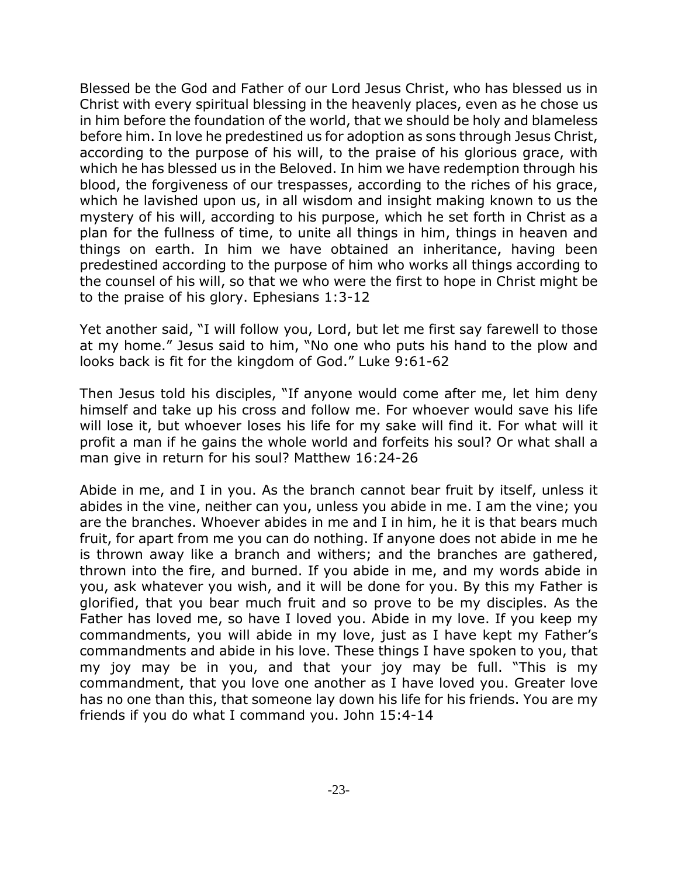Blessed be the God and Father of our Lord Jesus Christ, who has blessed us in Christ with every spiritual blessing in the heavenly places, even as he chose us in him before the foundation of the world, that we should be holy and blameless before him. In love he predestined us for adoption as sons through Jesus Christ, according to the purpose of his will, to the praise of his glorious grace, with which he has blessed us in the Beloved. In him we have redemption through his blood, the forgiveness of our trespasses, according to the riches of his grace, which he lavished upon us, in all wisdom and insight making known to us the mystery of his will, according to his purpose, which he set forth in Christ as a plan for the fullness of time, to unite all things in him, things in heaven and things on earth. In him we have obtained an inheritance, having been predestined according to the purpose of him who works all things according to the counsel of his will, so that we who were the first to hope in Christ might be to the praise of his glory. Ephesians 1:3-12

Yet another said, "I will follow you, Lord, but let me first say farewell to those at my home." Jesus said to him, "No one who puts his hand to the plow and looks back is fit for the kingdom of God." Luke 9:61-62

Then Jesus told his disciples, "If anyone would come after me, let him deny himself and take up his cross and follow me. For whoever would save his life will lose it, but whoever loses his life for my sake will find it. For what will it profit a man if he gains the whole world and forfeits his soul? Or what shall a man give in return for his soul? Matthew 16:24-26

Abide in me, and I in you. As the branch cannot bear fruit by itself, unless it abides in the vine, neither can you, unless you abide in me. I am the vine; you are the branches. Whoever abides in me and I in him, he it is that bears much fruit, for apart from me you can do nothing. If anyone does not abide in me he is thrown away like a branch and withers; and the branches are gathered, thrown into the fire, and burned. If you abide in me, and my words abide in you, ask whatever you wish, and it will be done for you. By this my Father is glorified, that you bear much fruit and so prove to be my disciples. As the Father has loved me, so have I loved you. Abide in my love. If you keep my commandments, you will abide in my love, just as I have kept my Father's commandments and abide in his love. These things I have spoken to you, that my joy may be in you, and that your joy may be full. "This is my commandment, that you love one another as I have loved you. Greater love has no one than this, that someone lay down his life for his friends. You are my friends if you do what I command you. John 15:4-14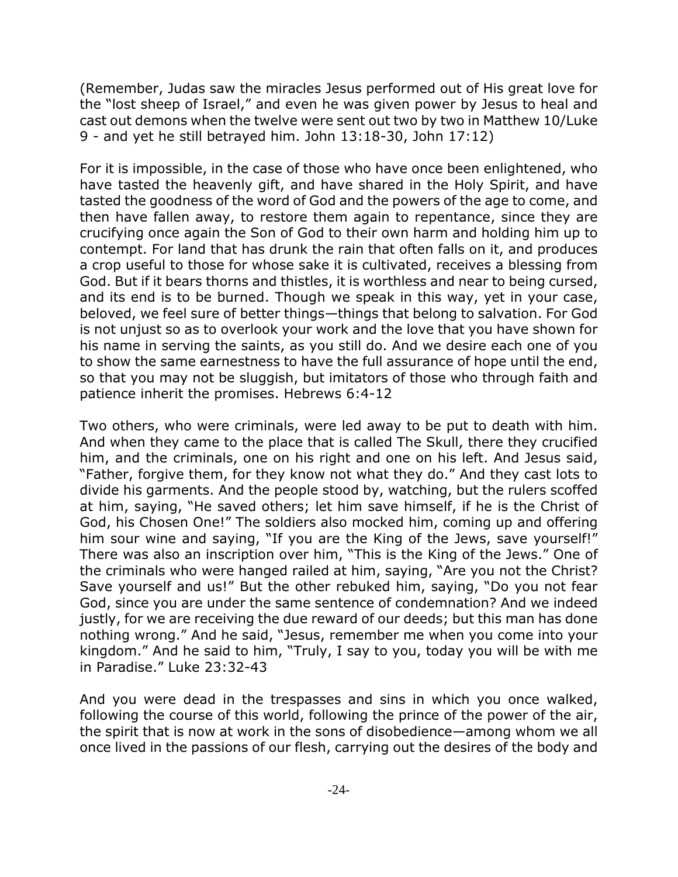(Remember, Judas saw the miracles Jesus performed out of His great love for the "lost sheep of Israel," and even he was given power by Jesus to heal and cast out demons when the twelve were sent out two by two in Matthew 10/Luke 9 - and yet he still betrayed him. John 13:18-30, John 17:12)

For it is impossible, in the case of those who have once been enlightened, who have tasted the heavenly gift, and have shared in the Holy Spirit, and have tasted the goodness of the word of God and the powers of the age to come, and then have fallen away, to restore them again to repentance, since they are crucifying once again the Son of God to their own harm and holding him up to contempt. For land that has drunk the rain that often falls on it, and produces a crop useful to those for whose sake it is cultivated, receives a blessing from God. But if it bears thorns and thistles, it is worthless and near to being cursed, and its end is to be burned. Though we speak in this way, yet in your case, beloved, we feel sure of better things—things that belong to salvation. For God is not unjust so as to overlook your work and the love that you have shown for his name in serving the saints, as you still do. And we desire each one of you to show the same earnestness to have the full assurance of hope until the end, so that you may not be sluggish, but imitators of those who through faith and patience inherit the promises. Hebrews 6:4-12

Two others, who were criminals, were led away to be put to death with him. And when they came to the place that is called The Skull, there they crucified him, and the criminals, one on his right and one on his left. And Jesus said, "Father, forgive them, for they know not what they do." And they cast lots to divide his garments. And the people stood by, watching, but the rulers scoffed at him, saying, "He saved others; let him save himself, if he is the Christ of God, his Chosen One!" The soldiers also mocked him, coming up and offering him sour wine and saying, "If you are the King of the Jews, save yourself!" There was also an inscription over him, "This is the King of the Jews." One of the criminals who were hanged railed at him, saying, "Are you not the Christ? Save yourself and us!" But the other rebuked him, saying, "Do you not fear God, since you are under the same sentence of condemnation? And we indeed justly, for we are receiving the due reward of our deeds; but this man has done nothing wrong." And he said, "Jesus, remember me when you come into your kingdom." And he said to him, "Truly, I say to you, today you will be with me in Paradise." Luke 23:32-43

And you were dead in the trespasses and sins in which you once walked, following the course of this world, following the prince of the power of the air, the spirit that is now at work in the sons of disobedience—among whom we all once lived in the passions of our flesh, carrying out the desires of the body and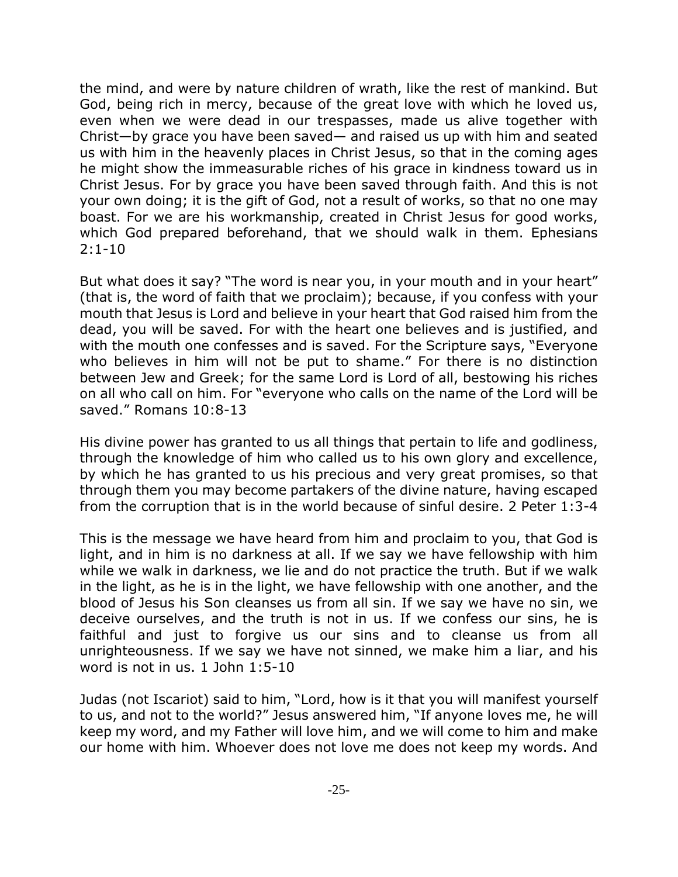the mind, and were by nature children of wrath, like the rest of mankind. But God, being rich in mercy, because of the great love with which he loved us, even when we were dead in our trespasses, made us alive together with Christ—by grace you have been saved— and raised us up with him and seated us with him in the heavenly places in Christ Jesus, so that in the coming ages he might show the immeasurable riches of his grace in kindness toward us in Christ Jesus. For by grace you have been saved through faith. And this is not your own doing; it is the gift of God, not a result of works, so that no one may boast. For we are his workmanship, created in Christ Jesus for good works, which God prepared beforehand, that we should walk in them. Ephesians 2:1-10

But what does it say? "The word is near you, in your mouth and in your heart" (that is, the word of faith that we proclaim); because, if you confess with your mouth that Jesus is Lord and believe in your heart that God raised him from the dead, you will be saved. For with the heart one believes and is justified, and with the mouth one confesses and is saved. For the Scripture says, "Everyone who believes in him will not be put to shame." For there is no distinction between Jew and Greek; for the same Lord is Lord of all, bestowing his riches on all who call on him. For "everyone who calls on the name of the Lord will be saved." Romans 10:8-13

His divine power has granted to us all things that pertain to life and godliness, through the knowledge of him who called us to his own glory and excellence, by which he has granted to us his precious and very great promises, so that through them you may become partakers of the divine nature, having escaped from the corruption that is in the world because of sinful desire. 2 Peter 1:3-4

This is the message we have heard from him and proclaim to you, that God is light, and in him is no darkness at all. If we say we have fellowship with him while we walk in darkness, we lie and do not practice the truth. But if we walk in the light, as he is in the light, we have fellowship with one another, and the blood of Jesus his Son cleanses us from all sin. If we say we have no sin, we deceive ourselves, and the truth is not in us. If we confess our sins, he is faithful and just to forgive us our sins and to cleanse us from all unrighteousness. If we say we have not sinned, we make him a liar, and his word is not in us. 1 John 1:5-10

Judas (not Iscariot) said to him, "Lord, how is it that you will manifest yourself to us, and not to the world?" Jesus answered him, "If anyone loves me, he will keep my word, and my Father will love him, and we will come to him and make our home with him. Whoever does not love me does not keep my words. And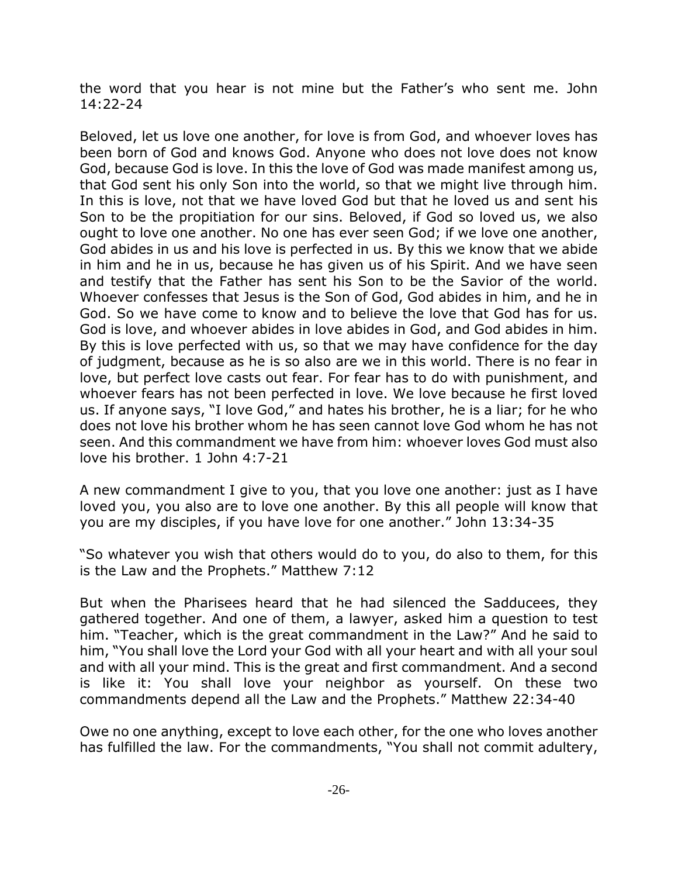the word that you hear is not mine but the Father's who sent me. John 14:22-24

Beloved, let us love one another, for love is from God, and whoever loves has been born of God and knows God. Anyone who does not love does not know God, because God is love. In this the love of God was made manifest among us, that God sent his only Son into the world, so that we might live through him. In this is love, not that we have loved God but that he loved us and sent his Son to be the propitiation for our sins. Beloved, if God so loved us, we also ought to love one another. No one has ever seen God; if we love one another, God abides in us and his love is perfected in us. By this we know that we abide in him and he in us, because he has given us of his Spirit. And we have seen and testify that the Father has sent his Son to be the Savior of the world. Whoever confesses that Jesus is the Son of God, God abides in him, and he in God. So we have come to know and to believe the love that God has for us. God is love, and whoever abides in love abides in God, and God abides in him. By this is love perfected with us, so that we may have confidence for the day of judgment, because as he is so also are we in this world. There is no fear in love, but perfect love casts out fear. For fear has to do with punishment, and whoever fears has not been perfected in love. We love because he first loved us. If anyone says, "I love God," and hates his brother, he is a liar; for he who does not love his brother whom he has seen cannot love God whom he has not seen. And this commandment we have from him: whoever loves God must also love his brother. 1 John 4:7-21

A new commandment I give to you, that you love one another: just as I have loved you, you also are to love one another. By this all people will know that you are my disciples, if you have love for one another." John 13:34-35

"So whatever you wish that others would do to you, do also to them, for this is the Law and the Prophets." Matthew 7:12

But when the Pharisees heard that he had silenced the Sadducees, they gathered together. And one of them, a lawyer, asked him a question to test him. "Teacher, which is the great commandment in the Law?" And he said to him, "You shall love the Lord your God with all your heart and with all your soul and with all your mind. This is the great and first commandment. And a second is like it: You shall love your neighbor as yourself. On these two commandments depend all the Law and the Prophets." Matthew 22:34-40

Owe no one anything, except to love each other, for the one who loves another has fulfilled the law. For the commandments, "You shall not commit adultery,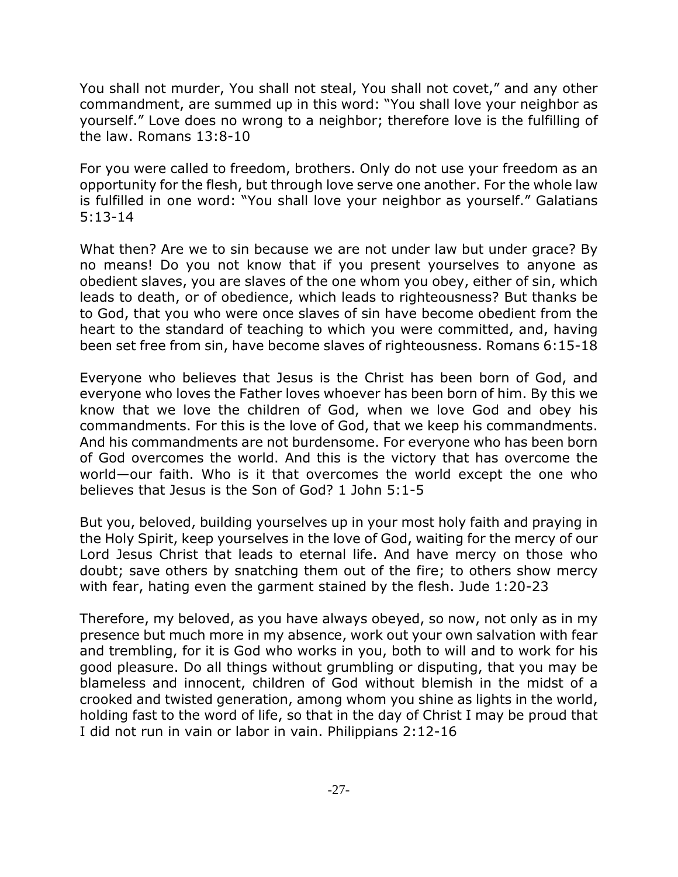You shall not murder, You shall not steal, You shall not covet," and any other commandment, are summed up in this word: "You shall love your neighbor as yourself." Love does no wrong to a neighbor; therefore love is the fulfilling of the law. Romans 13:8-10

For you were called to freedom, brothers. Only do not use your freedom as an opportunity for the flesh, but through love serve one another. For the whole law is fulfilled in one word: "You shall love your neighbor as yourself." Galatians 5:13-14

What then? Are we to sin because we are not under law but under grace? By no means! Do you not know that if you present yourselves to anyone as obedient slaves, you are slaves of the one whom you obey, either of sin, which leads to death, or of obedience, which leads to righteousness? But thanks be to God, that you who were once slaves of sin have become obedient from the heart to the standard of teaching to which you were committed, and, having been set free from sin, have become slaves of righteousness. Romans 6:15-18

Everyone who believes that Jesus is the Christ has been born of God, and everyone who loves the Father loves whoever has been born of him. By this we know that we love the children of God, when we love God and obey his commandments. For this is the love of God, that we keep his commandments. And his commandments are not burdensome. For everyone who has been born of God overcomes the world. And this is the victory that has overcome the world—our faith. Who is it that overcomes the world except the one who believes that Jesus is the Son of God? 1 John 5:1-5

But you, beloved, building yourselves up in your most holy faith and praying in the Holy Spirit, keep yourselves in the love of God, waiting for the mercy of our Lord Jesus Christ that leads to eternal life. And have mercy on those who doubt; save others by snatching them out of the fire; to others show mercy with fear, hating even the garment stained by the flesh. Jude 1:20-23

Therefore, my beloved, as you have always obeyed, so now, not only as in my presence but much more in my absence, work out your own salvation with fear and trembling, for it is God who works in you, both to will and to work for his good pleasure. Do all things without grumbling or disputing, that you may be blameless and innocent, children of God without blemish in the midst of a crooked and twisted generation, among whom you shine as lights in the world, holding fast to the word of life, so that in the day of Christ I may be proud that I did not run in vain or labor in vain. Philippians 2:12-16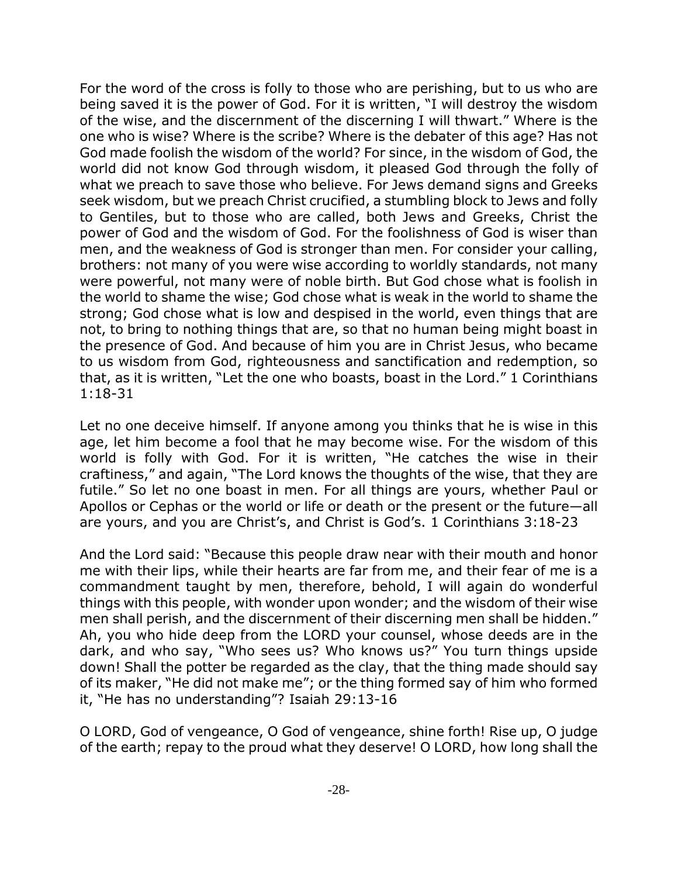For the word of the cross is folly to those who are perishing, but to us who are being saved it is the power of God. For it is written, "I will destroy the wisdom of the wise, and the discernment of the discerning I will thwart." Where is the one who is wise? Where is the scribe? Where is the debater of this age? Has not God made foolish the wisdom of the world? For since, in the wisdom of God, the world did not know God through wisdom, it pleased God through the folly of what we preach to save those who believe. For Jews demand signs and Greeks seek wisdom, but we preach Christ crucified, a stumbling block to Jews and folly to Gentiles, but to those who are called, both Jews and Greeks, Christ the power of God and the wisdom of God. For the foolishness of God is wiser than men, and the weakness of God is stronger than men. For consider your calling, brothers: not many of you were wise according to worldly standards, not many were powerful, not many were of noble birth. But God chose what is foolish in the world to shame the wise; God chose what is weak in the world to shame the strong; God chose what is low and despised in the world, even things that are not, to bring to nothing things that are, so that no human being might boast in the presence of God. And because of him you are in Christ Jesus, who became to us wisdom from God, righteousness and sanctification and redemption, so that, as it is written, "Let the one who boasts, boast in the Lord." 1 Corinthians 1:18-31

Let no one deceive himself. If anyone among you thinks that he is wise in this age, let him become a fool that he may become wise. For the wisdom of this world is folly with God. For it is written, "He catches the wise in their craftiness," and again, "The Lord knows the thoughts of the wise, that they are futile." So let no one boast in men. For all things are yours, whether Paul or Apollos or Cephas or the world or life or death or the present or the future—all are yours, and you are Christ's, and Christ is God's. 1 Corinthians 3:18-23

And the Lord said: "Because this people draw near with their mouth and honor me with their lips, while their hearts are far from me, and their fear of me is a commandment taught by men, therefore, behold, I will again do wonderful things with this people, with wonder upon wonder; and the wisdom of their wise men shall perish, and the discernment of their discerning men shall be hidden." Ah, you who hide deep from the LORD your counsel, whose deeds are in the dark, and who say, "Who sees us? Who knows us?" You turn things upside down! Shall the potter be regarded as the clay, that the thing made should say of its maker, "He did not make me"; or the thing formed say of him who formed it, "He has no understanding"? Isaiah 29:13-16

O LORD, God of vengeance, O God of vengeance, shine forth! Rise up, O judge of the earth; repay to the proud what they deserve! O LORD, how long shall the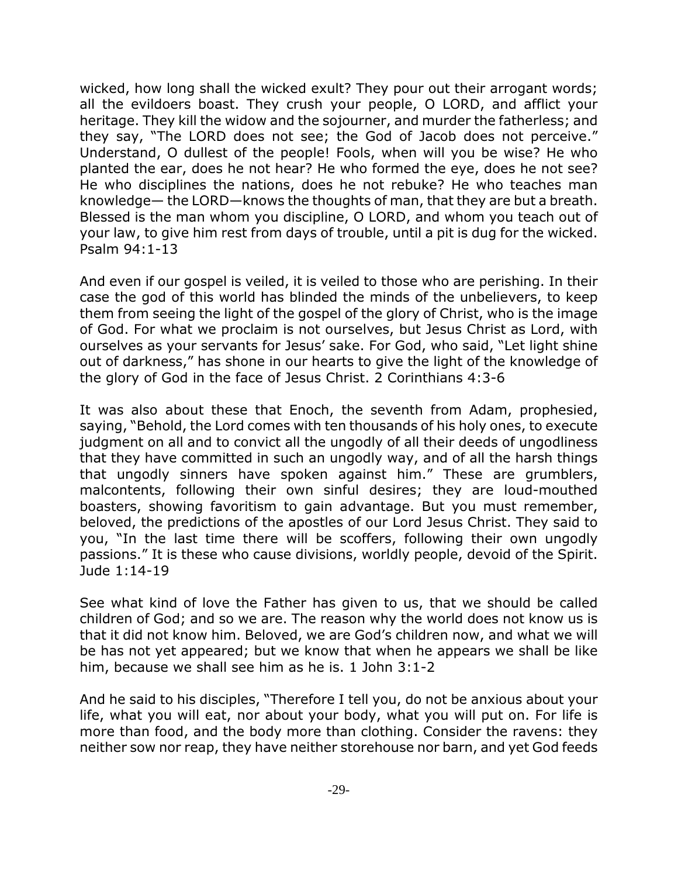wicked, how long shall the wicked exult? They pour out their arrogant words; all the evildoers boast. They crush your people, O LORD, and afflict your heritage. They kill the widow and the sojourner, and murder the fatherless; and they say, "The LORD does not see; the God of Jacob does not perceive." Understand, O dullest of the people! Fools, when will you be wise? He who planted the ear, does he not hear? He who formed the eye, does he not see? He who disciplines the nations, does he not rebuke? He who teaches man knowledge— the LORD—knows the thoughts of man, that they are but a breath. Blessed is the man whom you discipline, O LORD, and whom you teach out of your law, to give him rest from days of trouble, until a pit is dug for the wicked. Psalm 94:1-13

And even if our gospel is veiled, it is veiled to those who are perishing. In their case the god of this world has blinded the minds of the unbelievers, to keep them from seeing the light of the gospel of the glory of Christ, who is the image of God. For what we proclaim is not ourselves, but Jesus Christ as Lord, with ourselves as your servants for Jesus' sake. For God, who said, "Let light shine out of darkness," has shone in our hearts to give the light of the knowledge of the glory of God in the face of Jesus Christ. 2 Corinthians 4:3-6

It was also about these that Enoch, the seventh from Adam, prophesied, saying, "Behold, the Lord comes with ten thousands of his holy ones, to execute judgment on all and to convict all the ungodly of all their deeds of ungodliness that they have committed in such an ungodly way, and of all the harsh things that ungodly sinners have spoken against him." These are grumblers, malcontents, following their own sinful desires; they are loud-mouthed boasters, showing favoritism to gain advantage. But you must remember, beloved, the predictions of the apostles of our Lord Jesus Christ. They said to you, "In the last time there will be scoffers, following their own ungodly passions." It is these who cause divisions, worldly people, devoid of the Spirit. Jude 1:14-19

See what kind of love the Father has given to us, that we should be called children of God; and so we are. The reason why the world does not know us is that it did not know him. Beloved, we are God's children now, and what we will be has not yet appeared; but we know that when he appears we shall be like him, because we shall see him as he is. 1 John 3:1-2

And he said to his disciples, "Therefore I tell you, do not be anxious about your life, what you will eat, nor about your body, what you will put on. For life is more than food, and the body more than clothing. Consider the ravens: they neither sow nor reap, they have neither storehouse nor barn, and yet God feeds